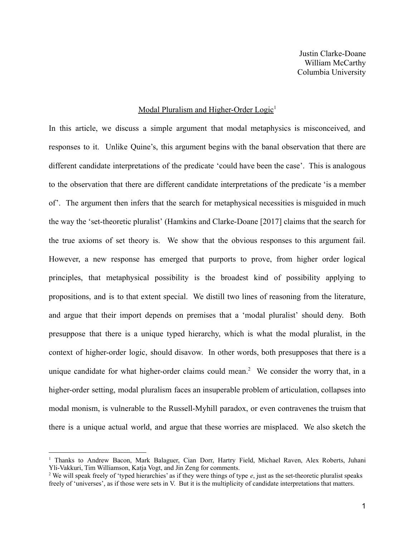Justin Clarke-Doane William McCarthy Columbia University

# Modal Pluralism and Higher-Order Logic<sup>1</sup>

In this article, we discuss a simple argument that modal metaphysics is misconceived, and responses to it. Unlike Quine's, this argument begins with the banal observation that there are different candidate interpretations of the predicate 'could have been the case'. This is analogous to the observation that there are different candidate interpretations of the predicate 'is a member of'. The argument then infers that the search for metaphysical necessities is misguided in much the way the 'set-theoretic pluralist' (Hamkins and Clarke-Doane [2017] claims that the search for the true axioms of set theory is. We show that the obvious responses to this argument fail. However, a new response has emerged that purports to prove, from higher order logical principles, that metaphysical possibility is the broadest kind of possibility applying to propositions, and is to that extent special. We distill two lines of reasoning from the literature, and argue that their import depends on premises that a 'modal pluralist' should deny. Both presuppose that there is a unique typed hierarchy, which is what the modal pluralist, in the context of higher-order logic, should disavow. In other words, both presupposes that there is a unique candidate for what higher-order claims could mean.<sup>2</sup> We consider the worry that, in a higher-order setting, modal pluralism faces an insuperable problem of articulation, collapses into modal monism, is vulnerable to the Russell-Myhill paradox, or even contravenes the truism that there is a unique actual world, and argue that these worries are misplaced. We also sketch the

<sup>1</sup> Thanks to Andrew Bacon, Mark Balaguer, Cian Dorr, Hartry Field, Michael Raven, Alex Roberts, Juhani Yli-Vakkuri, Tim Williamson, Katja Vogt, and Jin Zeng for comments.

<sup>2</sup> We will speak freely of 'typed hierarchies' as if they were things of type *e*, just as the set-theoretic pluralist speaks freely of 'universes', as if those were sets in V. But it is the multiplicity of candidate interpretations that matters.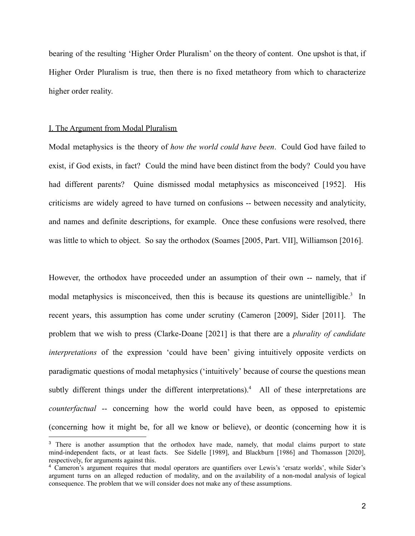bearing of the resulting 'Higher Order Pluralism' on the theory of content. One upshot is that, if Higher Order Pluralism is true, then there is no fixed metatheory from which to characterize higher order reality.

### I. The Argument from Modal Pluralism

Modal metaphysics is the theory of *how the world could have been*. Could God have failed to exist, if God exists, in fact? Could the mind have been distinct from the body? Could you have had different parents? Quine dismissed modal metaphysics as misconceived [1952]. His criticisms are widely agreed to have turned on confusions -- between necessity and analyticity, and names and definite descriptions, for example. Once these confusions were resolved, there was little to which to object. So say the orthodox (Soames [2005, Part. VII], Williamson [2016].

However, the orthodox have proceeded under an assumption of their own -- namely, that if modal metaphysics is misconceived, then this is because its questions are unintelligible.<sup>3</sup> In recent years, this assumption has come under scrutiny (Cameron [2009], Sider [2011]. The problem that we wish to press (Clarke-Doane [2021] is that there are a *plurality of candidate interpretations* of the expression 'could have been' giving intuitively opposite verdicts on paradigmatic questions of modal metaphysics ('intuitively' because of course the questions mean subtly different things under the different interpretations).<sup>4</sup> All of these interpretations are *counterfactual* -- concerning how the world could have been, as opposed to epistemic (concerning how it might be, for all we know or believe), or deontic (concerning how it is

<sup>&</sup>lt;sup>3</sup> There is another assumption that the orthodox have made, namely, that modal claims purport to state mind-independent facts, or at least facts. See Sidelle [1989], and Blackburn [1986] and Thomasson [2020], respectively, for arguments against this.

<sup>4</sup> Cameron's argument requires that modal operators are quantifiers over Lewis's 'ersatz worlds', while Sider's argument turns on an alleged reduction of modality, and on the availability of a non-modal analysis of logical consequence. The problem that we will consider does not make any of these assumptions.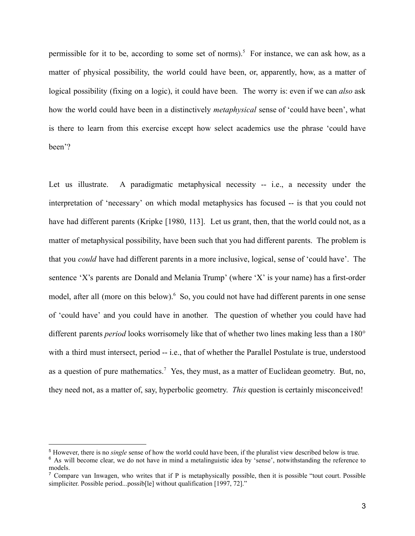permissible for it to be, according to some set of norms).<sup>5</sup> For instance, we can ask how, as a matter of physical possibility, the world could have been, or, apparently, how, as a matter of logical possibility (fixing on a logic), it could have been. The worry is: even if we can *also* ask how the world could have been in a distinctively *metaphysical* sense of 'could have been', what is there to learn from this exercise except how select academics use the phrase 'could have been'?

Let us illustrate. A paradigmatic metaphysical necessity -- i.e., a necessity under the interpretation of 'necessary' on which modal metaphysics has focused -- is that you could not have had different parents (Kripke [1980, 113]. Let us grant, then, that the world could not, as a matter of metaphysical possibility, have been such that you had different parents. The problem is that you *could* have had different parents in a more inclusive, logical, sense of 'could have'. The sentence 'X's parents are Donald and Melania Trump' (where 'X' is your name) has a first-order model, after all (more on this below).<sup>6</sup> So, you could not have had different parents in one sense of 'could have' and you could have in another. The question of whether you could have had different parents *period* looks worrisomely like that of whether two lines making less than a 180° with a third must intersect, period -- i.e., that of whether the Parallel Postulate is true, understood as a question of pure mathematics.<sup>7</sup> Yes, they must, as a matter of Euclidean geometry. But, no, they need not, as a matter of, say, hyperbolic geometry. *This* question is certainly misconceived!

<sup>5</sup> However, there is no *single* sense of how the world could have been, if the pluralist view described below is true.

<sup>&</sup>lt;sup>6</sup> As will become clear, we do not have in mind a metalinguistic idea by 'sense', notwithstanding the reference to models.

<sup>7</sup> Compare van Inwagen, who writes that if P is metaphysically possible, then it is possible "tout court. Possible simpliciter. Possible period...possib[le] without qualification [1997, 72]."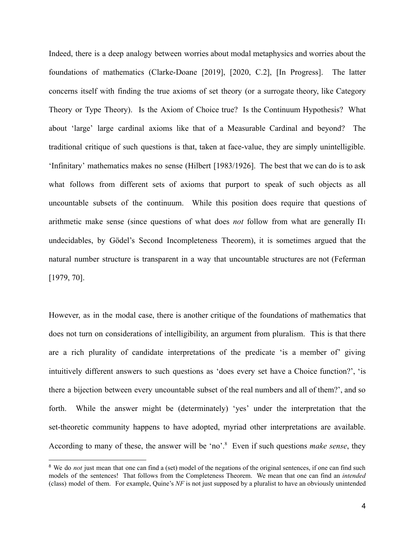Indeed, there is a deep analogy between worries about modal metaphysics and worries about the foundations of mathematics (Clarke-Doane [2019], [2020, C.2], [In Progress]. The latter concerns itself with finding the true axioms of set theory (or a surrogate theory, like Category Theory or Type Theory). Is the Axiom of Choice true? Is the Continuum Hypothesis? What about 'large' large cardinal axioms like that of a Measurable Cardinal and beyond? The traditional critique of such questions is that, taken at face-value, they are simply unintelligible. 'Infinitary' mathematics makes no sense (Hilbert [1983/1926]. The best that we can do is to ask what follows from different sets of axioms that purport to speak of such objects as all uncountable subsets of the continuum. While this position does require that questions of arithmetic make sense (since questions of what does *not* follow from what are generally Π<sup>1</sup> undecidables, by Gödel's Second Incompleteness Theorem), it is sometimes argued that the natural number structure is transparent in a way that uncountable structures are not (Feferman [1979, 70].

However, as in the modal case, there is another critique of the foundations of mathematics that does not turn on considerations of intelligibility, an argument from pluralism. This is that there are a rich plurality of candidate interpretations of the predicate 'is a member of' giving intuitively different answers to such questions as 'does every set have a Choice function?', 'is there a bijection between every uncountable subset of the real numbers and all of them?', and so forth. While the answer might be (determinately) 'yes' under the interpretation that the set-theoretic community happens to have adopted, myriad other interpretations are available. According to many of these, the answer will be 'no'.<sup>8</sup> Even if such questions *make sense*, they

<sup>&</sup>lt;sup>8</sup> We do *not* just mean that one can find a (set) model of the negations of the original sentences, if one can find such models of the sentences! That follows from the Completeness Theorem. We mean that one can find an *intended* (class) model of them. For example, Quine's *NF* is not just supposed by a pluralist to have an obviously unintended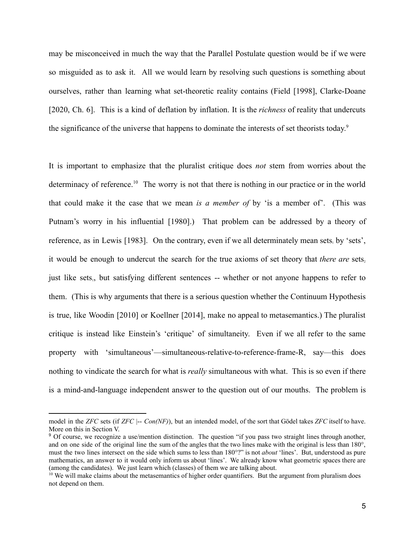may be misconceived in much the way that the Parallel Postulate question would be if we were so misguided as to ask it. All we would learn by resolving such questions is something about ourselves, rather than learning what set-theoretic reality contains (Field [1998], Clarke-Doane [2020, Ch. 6]. This is a kind of deflation by inflation. It is the *richness* of reality that undercuts the significance of the universe that happens to dominate the interests of set theorists today. 9

It is important to emphasize that the pluralist critique does *not* stem from worries about the determinacy of reference.<sup>10</sup> The worry is not that there is nothing in our practice or in the world that could make it the case that we mean *is a member of* by 'is a member of'. (This was Putnam's worry in his influential [1980].) That problem can be addressed by a theory of reference, as in Lewis [1983]. On the contrary, even if we all determinately mean sets, by 'sets', it would be enough to undercut the search for the true axioms of set theory that *there are* sets, just like sets<sub>1</sub>, but satisfying different sentences -- whether or not anyone happens to refer to them. (This is why arguments that there is a serious question whether the Continuum Hypothesis is true, like Woodin [2010] or Koellner [2014], make no appeal to metasemantics.) The pluralist critique is instead like Einstein's 'critique' of simultaneity. Even if we all refer to the same property with 'simultaneous'—simultaneous-relative-to-reference-frame-R, say—this does nothing to vindicate the search for what is *really* simultaneous with what. This is so even if there is a mind-and-language independent answer to the question out of our mouths. The problem is

model in the *ZFC* sets (if *ZFC*  $|-$  *Con(NF)*), but an intended model, of the sort that Gödel takes *ZFC* itself to have. More on this in Section V.

<sup>&</sup>lt;sup>9</sup> Of course, we recognize a use/mention distinction. The question "if you pass two straight lines through another, and on one side of the original line the sum of the angles that the two lines make with the original is less than 180°, must the two lines intersect on the side which sums to less than 180°?" is not *about* 'lines'. But, understood as pure mathematics, an answer to it would only inform us about 'lines'. We already know what geometric spaces there are (among the candidates). We just learn which (classes) of them we are talking about.

 $10$  We will make claims about the metasemantics of higher order quantifiers. But the argument from pluralism does not depend on them.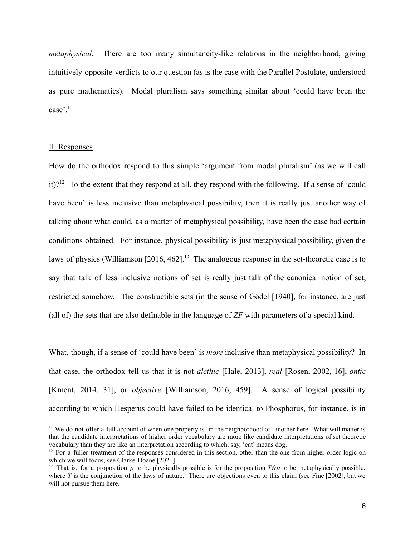*metaphysical*. There are too many simultaneity-like relations in the neighborhood, giving intuitively opposite verdicts to our question (as is the case with the Parallel Postulate, understood as pure mathematics). Modal pluralism says something similar about 'could have been the case'.<sup>11</sup>

# II. Responses

How do the orthodox respond to this simple 'argument from modal pluralism' (as we will call it)?<sup>12</sup> To the extent that they respond at all, they respond with the following. If a sense of 'could have been' is less inclusive than metaphysical possibility, then it is really just another way of talking about what could, as a matter of metaphysical possibility, have been the case had certain conditions obtained. For instance, physical possibility is just metaphysical possibility, given the laws of physics (Williamson [2016, 462].<sup>13</sup> The analogous response in the set-theoretic case is to say that talk of less inclusive notions of set is really just talk of the canonical notion of set, restricted somehow. The constructible sets (in the sense of Gödel [1940], for instance, are just (all of) the sets that are also definable in the language of *ZF* with parameters of a special kind.

What, though, if a sense of 'could have been' is *more* inclusive than metaphysical possibility? In that case, the orthodox tell us that it is not *alethic* [Hale, 2013], *real* [Rosen, 2002, 16], *ontic* [Kment, 2014, 31], or *objective* [Williamson, 2016, 459]. A sense of logical possibility according to which Hesperus could have failed to be identical to Phosphorus, for instance, is in

 $11$  We do not offer a full account of when one property is 'in the neighborhood of' another here. What will matter is that the candidate interpretations of higher order vocabulary are more like candidate interpretations of set theoretic vocabulary than they are like an interpretation according to which, say, 'cat' means dog.

 $12$  For a fuller treatment of the responses considered in this section, other than the one from higher order logic on which we will focus, see Clarke-Doane [2021].

<sup>&</sup>lt;sup>13</sup> That is, for a proposition *p* to be physically possible is for the proposition  $T\&p$  to be metaphysically possible, where  $T$  is the conjunction of the laws of nature. There are objections even to this claim (see Fine  $[2002]$ , but we will not pursue them here.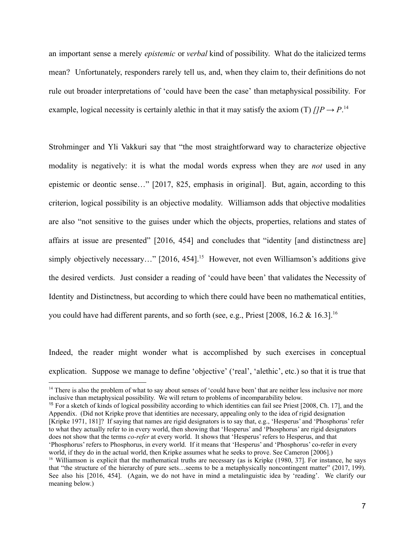an important sense a merely *epistemic* or *verbal* kind of possibility. What do the italicized terms mean? Unfortunately, responders rarely tell us, and, when they claim to, their definitions do not rule out broader interpretations of 'could have been the case' than metaphysical possibility. For example, logical necessity is certainly alethic in that it may satisfy the axiom (T)  $\iint P \rightarrow P$ <sup>14</sup>

Strohminger and Yli Vakkuri say that "the most straightforward way to characterize objective modality is negatively: it is what the modal words express when they are *not* used in any epistemic or deontic sense…" [2017, 825, emphasis in original]. But, again, according to this criterion, logical possibility is an objective modality. Williamson adds that objective modalities are also "not sensitive to the guises under which the objects, properties, relations and states of affairs at issue are presented" [2016, 454] and concludes that "identity [and distinctness are] simply objectively necessary…" [2016, 454].<sup>15</sup> However, not even Williamson's additions give the desired verdicts. Just consider a reading of 'could have been' that validates the Necessity of Identity and Distinctness, but according to which there could have been no mathematical entities, you could have had different parents, and so forth (see, e.g., Priest [2008, 16.2  $& 16.3$ ]<sup>16</sup>

Indeed, the reader might wonder what is accomplished by such exercises in conceptual explication. Suppose we manage to define 'objective' ('real', 'alethic', etc.) so that it is true that

<sup>16</sup> Williamson is explicit that the mathematical truths are necessary (as is Kripke (1980, 37). For instance, he says that "the structure of the hierarchy of pure sets…seems to be a metaphysically noncontingent matter" (2017, 199). See also his [2016, 454]. (Again, we do not have in mind a metalinguistic idea by 'reading'. We clarify our meaning below.) <sup>15</sup> For a sketch of kinds of logical possibility according to which identities can fail see Priest [2008, Ch. 17], and the Appendix. (Did not Kripke prove that identities are necessary, appealing only to the idea of rigid designation [Kripke 1971, 181]? If saying that names are rigid designators is to say that, e.g., 'Hesperus' and 'Phosphorus' refer to what they actually refer to in every world, then showing that 'Hesperus' and 'Phosphorus' are rigid designators does not show that the terms *co-refer* at every world. It shows that 'Hesperus' refers to Hesperus, and that 'Phosphorus' refers to Phosphorus, in every world. If it means that 'Hesperus' and 'Phosphorus' co-refer in every world, if they do in the actual world, then Kripke assumes what he seeks to prove. See Cameron [2006].)

<sup>&</sup>lt;sup>14</sup> There is also the problem of what to say about senses of 'could have been' that are neither less inclusive nor more inclusive than metaphysical possibility. We will return to problems of incomparability below.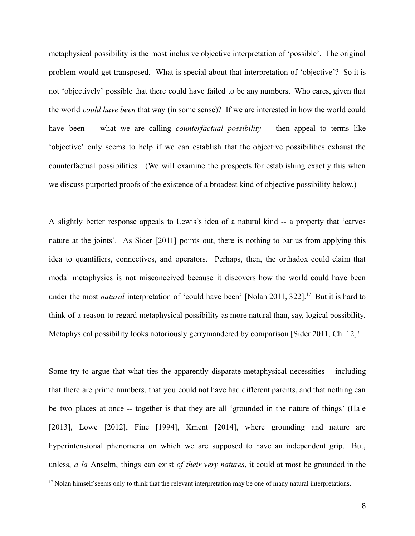metaphysical possibility is the most inclusive objective interpretation of 'possible'. The original problem would get transposed. What is special about that interpretation of 'objective'? So it is not 'objectively' possible that there could have failed to be any numbers. Who cares, given that the world *could have been* that way (in some sense)? If we are interested in how the world could have been -- what we are calling *counterfactual possibility* -- then appeal to terms like 'objective' only seems to help if we can establish that the objective possibilities exhaust the counterfactual possibilities. (We will examine the prospects for establishing exactly this when we discuss purported proofs of the existence of a broadest kind of objective possibility below.)

A slightly better response appeals to Lewis's idea of a natural kind -- a property that 'carves nature at the joints'. As Sider [2011] points out, there is nothing to bar us from applying this idea to quantifiers, connectives, and operators. Perhaps, then, the orthadox could claim that modal metaphysics is not misconceived because it discovers how the world could have been under the most *natural* interpretation of 'could have been' [Nolan 2011, 322].<sup>17</sup> But it is hard to think of a reason to regard metaphysical possibility as more natural than, say, logical possibility. Metaphysical possibility looks notoriously gerrymandered by comparison [Sider 2011, Ch. 12]!

Some try to argue that what ties the apparently disparate metaphysical necessities -- including that there are prime numbers, that you could not have had different parents, and that nothing can be two places at once -- together is that they are all 'grounded in the nature of things' (Hale [2013], Lowe [2012], Fine [1994], Kment [2014], where grounding and nature are hyperintensional phenomena on which we are supposed to have an independent grip. But, unless, *a la* Anselm, things can exist *of their very natures*, it could at most be grounded in the

<sup>&</sup>lt;sup>17</sup> Nolan himself seems only to think that the relevant interpretation may be one of many natural interpretations.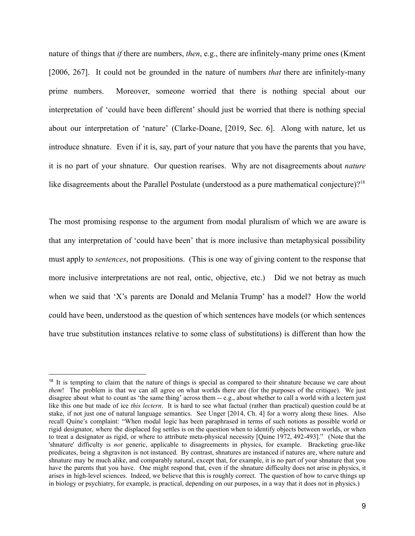nature of things that *if* there are numbers, *then*, e.g., there are infinitely-many prime ones (Kment [2006, 267]. It could not be grounded in the nature of numbers *that* there are infinitely-many prime numbers. Moreover, someone worried that there is nothing special about our interpretation of 'could have been different' should just be worried that there is nothing special about our interpretation of 'nature' (Clarke-Doane, [2019, Sec. 6]. Along with nature, let us introduce shnature. Even if it is, say, part of your nature that you have the parents that you have, it is no part of your shnature. Our question rearises. Why are not disagreements about *nature* like disagreements about the Parallel Postulate (understood as a pure mathematical conjecture)?<sup>18</sup>

The most promising response to the argument from modal pluralism of which we are aware is that any interpretation of 'could have been' that is more inclusive than metaphysical possibility must apply to *sentences*, not propositions. (This is one way of giving content to the response that more inclusive interpretations are not real, ontic, objective, etc.) Did we not betray as much when we said that 'X's parents are Donald and Melania Trump' has a model? How the world could have been, understood as the question of which sentences have models (or which sentences have true substitution instances relative to some class of substitutions) is different than how the

<sup>&</sup>lt;sup>18</sup> It is tempting to claim that the nature of things is special as compared to their shnature because we care about *them*! The problem is that we can all agree on what worlds there are (for the purposes of the critique). We just disagree about what to count as 'the same thing' across them -- e.g., about whether to call a world with a lectern just like this one but made of ice *this lectern*. It is hard to see what factual (rather than practical) question could be at stake, if not just one of natural language semantics. See Unger [2014, Ch. 4] for a worry along these lines. Also recall Quine's complaint: "When modal logic has been paraphrased in terms of such notions as possible world or rigid designator, where the displaced fog settles is on the question when to identify objects between worlds, or when to treat a designator as rigid, or where to attribute meta-physical necessity [Quine 1972, 492-493]." (Note that the 'shnature' difficulty is *not* generic, applicable to disagreements in physics, for example. Bracketing grue-like predicates, being a shgraviton is not instanced. By contrast, shnatures are instanced if natures are, where nature and shnature may be much alike, and comparably natural, except that, for example, it is no part of your shnature that you have the parents that you have. One might respond that, even if the shnature difficulty does not arise in physics, it arises in high-level sciences. Indeed, we believe that this is roughly correct. The question of how to carve things up in biology or psychiatry, for example, is practical, depending on our purposes, in a way that it does not in physics.)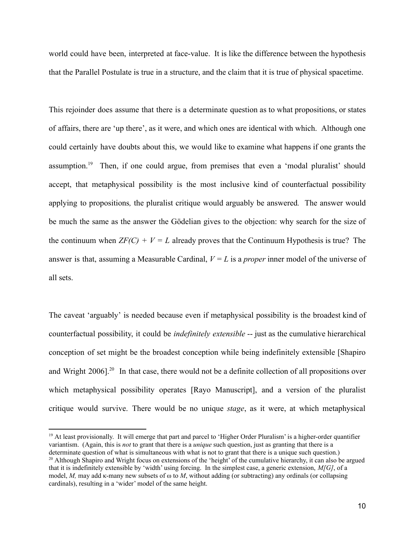world could have been, interpreted at face-value. It is like the difference between the hypothesis that the Parallel Postulate is true in a structure, and the claim that it is true of physical spacetime.

This rejoinder does assume that there is a determinate question as to what propositions, or states of affairs, there are 'up there', as it were, and which ones are identical with which. Although one could certainly have doubts about this, we would like to examine what happens if one grants the assumption.<sup>19</sup> Then, if one could argue, from premises that even a 'modal pluralist' should accept, that metaphysical possibility is the most inclusive kind of counterfactual possibility applying to propositions*,* the pluralist critique would arguably be answered*.* The answer would be much the same as the answer the Gödelian gives to the objection: why search for the size of the continuum when  $ZF(C) + V = L$  already proves that the Continuum Hypothesis is true? The answer is that, assuming a Measurable Cardinal,  $V = L$  is a *proper* inner model of the universe of all sets.

The caveat 'arguably' is needed because even if metaphysical possibility is the broadest kind of counterfactual possibility, it could be *indefinitely extensible* -- just as the cumulative hierarchical conception of set might be the broadest conception while being indefinitely extensible [Shapiro and Wright 2006].<sup>20</sup> In that case, there would not be a definite collection of all propositions over which metaphysical possibility operates [Rayo Manuscript], and a version of the pluralist critique would survive. There would be no unique *stage*, as it were, at which metaphysical

<sup>&</sup>lt;sup>20</sup> Although Shapiro and Wright focus on extensions of the 'height' of the cumulative hierarchy, it can also be argued that it is indefinitely extensible by 'width' using forcing. In the simplest case, a generic extension, *M[G]*, of a model, *M*, may add κ-many new subsets of  $\omega$  to *M*, without adding (or subtracting) any ordinals (or collapsing cardinals), resulting in a 'wider' model of the same height. <sup>19</sup> At least provisionally. It will emerge that part and parcel to 'Higher Order Pluralism' is a higher-order quantifier variantism. (Again, this is *not* to grant that there is a *unique* such question, just as granting that there is a determinate question of what is simultaneous with what is not to grant that there is a unique such question.)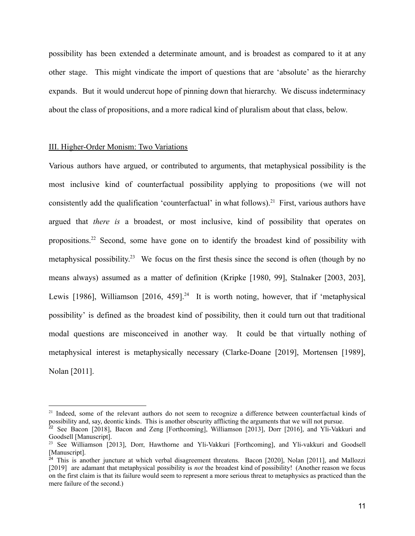possibility has been extended a determinate amount, and is broadest as compared to it at any other stage. This might vindicate the import of questions that are 'absolute' as the hierarchy expands. But it would undercut hope of pinning down that hierarchy. We discuss indeterminacy about the class of propositions, and a more radical kind of pluralism about that class, below.

### III. Higher-Order Monism: Two Variations

Various authors have argued, or contributed to arguments, that metaphysical possibility is the most inclusive kind of counterfactual possibility applying to propositions (we will not consistently add the qualification 'counterfactual' in what follows).<sup>21</sup> First, various authors have argued that *there is* a broadest, or most inclusive, kind of possibility that operates on propositions.<sup>22</sup> Second, some have gone on to identify the broadest kind of possibility with metaphysical possibility.<sup>23</sup> We focus on the first thesis since the second is often (though by no means always) assumed as a matter of definition (Kripke [1980, 99], Stalnaker [2003, 203], Lewis [1986], Williamson  $[2016, 459]$ <sup>24</sup> It is worth noting, however, that if 'metaphysical possibility' is defined as the broadest kind of possibility, then it could turn out that traditional modal questions are misconceived in another way. It could be that virtually nothing of metaphysical interest is metaphysically necessary (Clarke-Doane [2019], Mortensen [1989], Nolan [2011].

<sup>&</sup>lt;sup>21</sup> Indeed, some of the relevant authors do not seem to recognize a difference between counterfactual kinds of possibility and, say, deontic kinds. This is another obscurity afflicting the arguments that we will not pursue.

 $\frac{22}{2}$  See Bacon [2018], Bacon and Zeng [Forthcoming], Williamson [2013], Dorr [2016], and Yli-Vakkuri and Goodsell [Manuscript].

<sup>&</sup>lt;sup>23</sup> See Williamson [2013], Dorr, Hawthorne and Yli-Vakkuri [Forthcoming], and Yli-vakkuri and Goodsell [Manuscript].

 $24$  This is another juncture at which verbal disagreement threatens. Bacon [2020], Nolan [2011], and Mallozzi [2019] are adamant that metaphysical possibility is *not* the broadest kind of possibility! (Another reason we focus on the first claim is that its failure would seem to represent a more serious threat to metaphysics as practiced than the mere failure of the second.)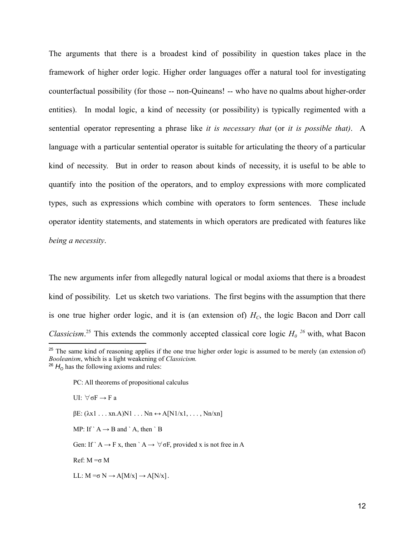The arguments that there is a broadest kind of possibility in question takes place in the framework of higher order logic. Higher order languages offer a natural tool for investigating counterfactual possibility (for those -- non-Quineans! -- who have no qualms about higher-order entities). In modal logic, a kind of necessity (or possibility) is typically regimented with a sentential operator representing a phrase like *it is necessary that* (or *it is possible that)*. A language with a particular sentential operator is suitable for articulating the theory of a particular kind of necessity. But in order to reason about kinds of necessity, it is useful to be able to quantify into the position of the operators, and to employ expressions with more complicated types, such as expressions which combine with operators to form sentences. These include operator identity statements, and statements in which operators are predicated with features like *being a necessity*.

The new arguments infer from allegedly natural logical or modal axioms that there is a broadest kind of possibility. Let us sketch two variations. The first begins with the assumption that there is one true higher order logic, and it is (an extension of)  $H<sub>C</sub>$ , the logic Bacon and Dorr call *Classicism*<sup>25</sup> This extends the commonly accepted classical core logic  $H_0$ <sup>26</sup> with, what Bacon

PC: All theorems of propositional calculus

UI: ∀σF → F a

 $\beta E: (\lambda x1 \ldots xn.A)N1 \ldots Nn \leftrightarrow A[N1/x1, \ldots, Nn/xn]$ 

MP: If `A  $\rightarrow$  B and `A, then `B

Gen: If ` A  $\rightarrow$  F x, then ` A  $\rightarrow \forall$  oF, provided x is not free in A

Ref:  $M = σ M$ 

LL:  $M = \sigma N \rightarrow A[M/x] \rightarrow A[N/x]$ .

 $^{26}$   $H<sub>o</sub>$  has the following axioms and rules: <sup>25</sup> The same kind of reasoning applies if the one true higher order logic is assumed to be merely (an extension of) *Booleanism*, which is a light weakening of *Classicism.*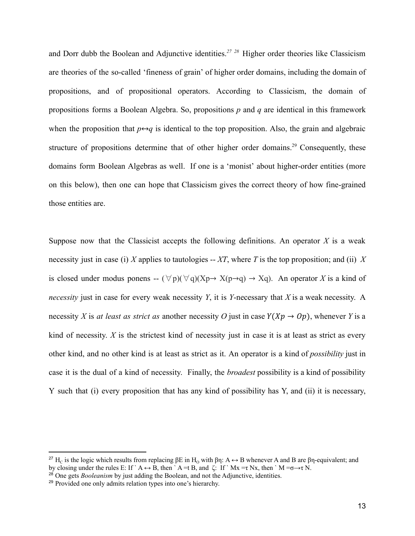and Dorr dubb the Boolean and Adjunctive identities.*<sup>27</sup> <sup>28</sup>* Higher order theories like Classicism are theories of the so-called 'fineness of grain' of higher order domains, including the domain of propositions, and of propositional operators. According to Classicism, the domain of propositions forms a Boolean Algebra. So, propositions *p* and *q* are identical in this framework when the proposition that  $p \leftrightarrow q$  is identical to the top proposition. Also, the grain and algebraic structure of propositions determine that of other higher order domains.<sup>29</sup> Consequently, these domains form Boolean Algebras as well. If one is a 'monist' about higher-order entities (more on this below), then one can hope that Classicism gives the correct theory of how fine-grained those entities are.

Suppose now that the Classicist accepts the following definitions. An operator *X* is a weak necessity just in case (i) *X* applies to tautologies -- *XT*, where *T* is the top proposition; and (ii) *X* is closed under modus ponens --  $(\forall p)(\forall q)(Xp \rightarrow X(p \rightarrow q) \rightarrow Xq)$ . An operator *X* is a kind of *necessity* just in case for every weak necessity *Y*, it is *Y*-necessary that *X* is a weak necessity. A necessity *X* is *at least as strict as* another necessity *O* just in case  $Y(Xp \rightarrow Op)$ , whenever *Y* is a kind of necessity. *X* is the strictest kind of necessity just in case it is at least as strict as every other kind, and no other kind is at least as strict as it. An operator is a kind of *possibility* just in case it is the dual of a kind of necessity. Finally, the *broadest* possibility is a kind of possibility Y such that (i) every proposition that has any kind of possibility has Y, and (ii) it is necessary,

<sup>&</sup>lt;sup>27</sup> H<sub>C</sub> is the logic which results from replacing βE in H<sub>O</sub> with βη: A  $\leftrightarrow$  B whenever A and B are βη-equivalent; and by closing under the rules E: If ` A  $\leftrightarrow$  B, then ` A =t B, and  $\zeta$ : If ` Mx =  $\tau$  Nx, then ` M = $\sigma \rightarrow \tau$  N.

<sup>&</sup>lt;sup>28</sup> One gets *Booleanism* by just adding the Boolean, and not the Adjunctive, identities.

<sup>29</sup> Provided one only admits relation types into one's hierarchy.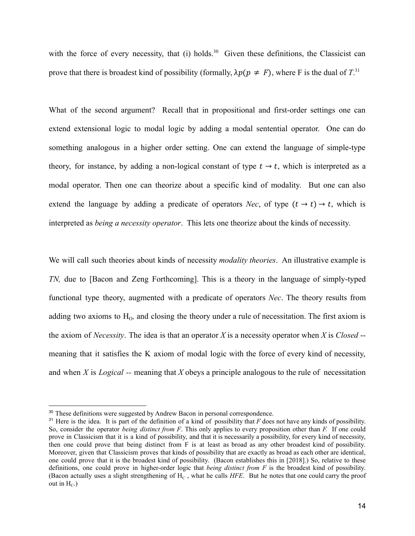with the force of every necessity, that (i) holds.<sup>30</sup> Given these definitions, the Classicist can prove that there is broadest kind of possibility (formally,  $\lambda p(p \neq F)$ , where F is the dual of  $T$ .<sup>31</sup>

What of the second argument? Recall that in propositional and first-order settings one can extend extensional logic to modal logic by adding a modal sentential operator. One can do something analogous in a higher order setting. One can extend the language of simple-type theory, for instance, by adding a non-logical constant of type  $t \to t$ , which is interpreted as a modal operator. Then one can theorize about a specific kind of modality. But one can also extend the language by adding a predicate of operators *Nec*, of type  $(t \rightarrow t) \rightarrow t$ , which is interpreted as *being a necessity operator*. This lets one theorize about the kinds of necessity.

We will call such theories about kinds of necessity *modality theories*. An illustrative example is *TN,* due to [Bacon and Zeng Forthcoming]. This is a theory in the language of simply-typed functional type theory, augmented with a predicate of operators *Nec*. The theory results from adding two axioms to  $H_0$ , and closing the theory under a rule of necessitation. The first axiom is the axiom of *Necessity*. The idea is that an operator *X* is a necessity operator when *X* is *Closed* - meaning that it satisfies the K axiom of modal logic with the force of every kind of necessity, and when *X* is *Logical --* meaning that *X* obeys a principle analogous to the rule of necessitation

<sup>&</sup>lt;sup>30</sup> These definitions were suggested by Andrew Bacon in personal correspondence.

 $31$  Here is the idea. It is part of the definition of a kind of possibility that *F* does not have any kinds of possibility. So, consider the operator *being distinct from F*. This only applies to every proposition other than *F.* If one could prove in Classicism that it is a kind of possibility, and that it is necessarily a possibility, for every kind of necessity, then one could prove that being distinct from F is at least as broad as any other broadest kind of possibility. Moreover, given that Classicism proves that kinds of possibility that are exactly as broad as each other are identical, one could prove that it is the broadest kind of possibility. (Bacon establishes this in [2018].) So, relative to these definitions, one could prove in higher-order logic that *being distinct from F* is the broadest kind of possibility. (Bacon actually uses a slight strengthening of H<sub>C</sub>, what he calls *HFE*. But he notes that one could carry the proof out in  $H_C$ .)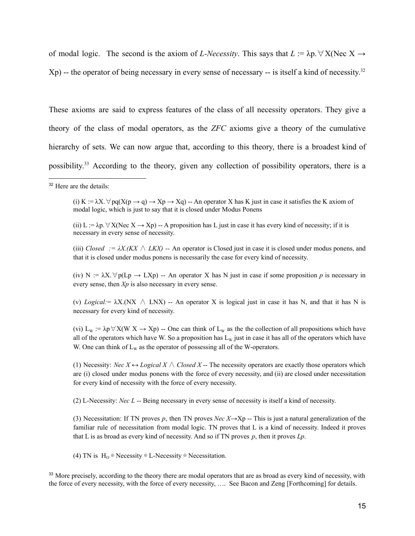of modal logic. The second is the axiom of *L-Necessity*. This says that  $L := \lambda p \cdot \nabla X$ (Nec X  $\rightarrow$ Xp) -- the operator of being necessary in every sense of necessary -- is itself a kind of necessity.<sup>32</sup>

These axioms are said to express features of the class of all necessity operators. They give a theory of the class of modal operators, as the *ZFC* axioms give a theory of the cumulative hierarchy of sets. We can now argue that, according to this theory, there is a broadest kind of possibility.<sup>33</sup> According to the theory, given any collection of possibility operators, there is a

(i) K :=  $\lambda$ X.  $\forall$  pq(X(p  $\rightarrow$  q)  $\rightarrow$  Xp  $\rightarrow$  Xq) -- An operator X has K just in case it satisfies the K axiom of modal logic, which is just to say that it is closed under Modus Ponens

(ii) L :=  $\lambda p \cdot \forall X(Nec X \rightarrow Xp)$  -- A proposition has L just in case it has every kind of necessity; if it is necessary in every sense of necessity.

(iii) *Closed*  $:= \lambda X$ .(KX  $\wedge$  *LKX*) -- An operator is Closed just in case it is closed under modus ponens, and that it is closed under modus ponens is necessarily the case for every kind of necessity.

(iv) N :=  $\lambda$ X.  $\forall$  p(Lp  $\rightarrow$  LXp) -- An operator X has N just in case if some proposition p is necessary in every sense, then *Xp* is also necessary in every sense.

(v) *Logical:*=  $\lambda$ X.(NX  $\land$  LNX) -- An operator X is logical just in case it has N, and that it has N is necessary for every kind of necessity.

(vi)  $L_W := \lambda p \forall X(W \ X \to Xp)$  -- One can think of  $L_W$  as the the collection of all propositions which have all of the operators which have W. So a proposition has  $L<sub>w</sub>$  just in case it has all of the operators which have W. One can think of  $L_W$  as the operator of possessing all of the W-operators.

(1) Necessity: *Nec*  $X \leftrightarrow Logical X \wedge Closed X$  -- The necessity operators are exactly those operators which are (i) closed under modus ponens with the force of every necessity, and (ii) are closed under necessitation for every kind of necessity with the force of every necessity.

(2) L-Necessity: *Nec L* -- Being necessary in every sense of necessity is itself a kind of necessity.

(3) Necessitation: If TN proves *p*, then TN proves *Nec*  $X \rightarrow Xp$  -- This is just a natural generalization of the familiar rule of necessitation from modal logic. TN proves that L is a kind of necessity. Indeed it proves that L is as broad as every kind of necessity. And so if TN proves *p*, then it proves *Lp*.

(4) TN is  $H_0 \oplus$  Necessity  $\oplus$  L-Necessity  $\oplus$  Necessitation.

<sup>33</sup> More precisely, according to the theory there are modal operators that are as broad as every kind of necessity, with the force of every necessity, with the force of every necessity, …. See Bacon and Zeng [Forthcoming] for details.

<sup>&</sup>lt;sup>32</sup> Here are the details: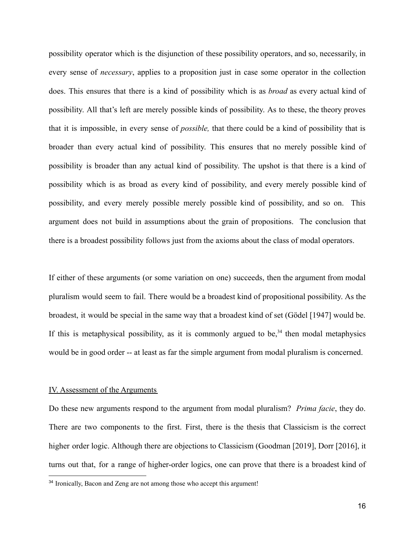possibility operator which is the disjunction of these possibility operators, and so, necessarily, in every sense of *necessary*, applies to a proposition just in case some operator in the collection does. This ensures that there is a kind of possibility which is as *broad* as every actual kind of possibility. All that's left are merely possible kinds of possibility. As to these, the theory proves that it is impossible, in every sense of *possible,* that there could be a kind of possibility that is broader than every actual kind of possibility. This ensures that no merely possible kind of possibility is broader than any actual kind of possibility. The upshot is that there is a kind of possibility which is as broad as every kind of possibility, and every merely possible kind of possibility, and every merely possible merely possible kind of possibility, and so on. This argument does not build in assumptions about the grain of propositions. The conclusion that there is a broadest possibility follows just from the axioms about the class of modal operators.

If either of these arguments (or some variation on one) succeeds, then the argument from modal pluralism would seem to fail. There would be a broadest kind of propositional possibility. As the broadest, it would be special in the same way that a broadest kind of set (Gödel [1947] would be. If this is metaphysical possibility, as it is commonly argued to be,<sup>34</sup> then modal metaphysics would be in good order -- at least as far the simple argument from modal pluralism is concerned.

#### IV. Assessment of the Arguments

Do these new arguments respond to the argument from modal pluralism? *Prima facie*, they do. There are two components to the first. First, there is the thesis that Classicism is the correct higher order logic. Although there are objections to Classicism (Goodman [2019], Dorr [2016], it turns out that, for a range of higher-order logics, one can prove that there is a broadest kind of

<sup>&</sup>lt;sup>34</sup> Ironically, Bacon and Zeng are not among those who accept this argument!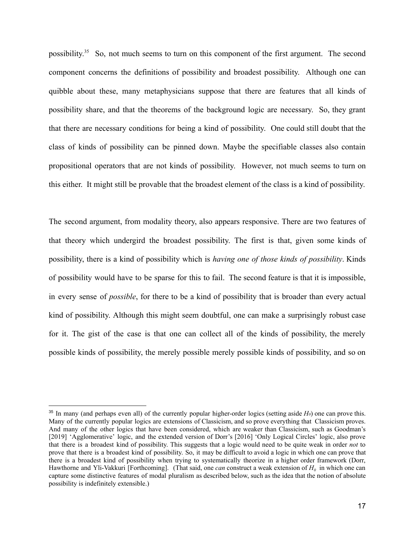possibility.<sup>35</sup> So, not much seems to turn on this component of the first argument. The second component concerns the definitions of possibility and broadest possibility. Although one can quibble about these, many metaphysicians suppose that there are features that all kinds of possibility share, and that the theorems of the background logic are necessary. So, they grant that there are necessary conditions for being a kind of possibility. One could still doubt that the class of kinds of possibility can be pinned down. Maybe the specifiable classes also contain propositional operators that are not kinds of possibility. However, not much seems to turn on this either. It might still be provable that the broadest element of the class is a kind of possibility.

The second argument, from modality theory, also appears responsive. There are two features of that theory which undergird the broadest possibility. The first is that, given some kinds of possibility, there is a kind of possibility which is *having one of those kinds of possibility*. Kinds of possibility would have to be sparse for this to fail. The second feature is that it is impossible, in every sense of *possible*, for there to be a kind of possibility that is broader than every actual kind of possibility. Although this might seem doubtful, one can make a surprisingly robust case for it. The gist of the case is that one can collect all of the kinds of possibility, the merely possible kinds of possibility, the merely possible merely possible kinds of possibility, and so on

 $35$  In many (and perhaps even all) of the currently popular higher-order logics (setting aside  $H_0$ ) one can prove this. Many of the currently popular logics are extensions of Classicism, and so prove everything that Classicism proves. And many of the other logics that have been considered, which are weaker than Classicism, such as Goodman's [2019] 'Agglomerative' logic, and the extended version of Dorr's [2016] 'Only Logical Circles' logic, also prove that there is a broadest kind of possibility. This suggests that a logic would need to be quite weak in order *not* to prove that there is a broadest kind of possibility. So, it may be difficult to avoid a logic in which one can prove that there is a broadest kind of possibility when trying to systematically theorize in a higher order framework (Dorr, Hawthorne and Yli-Vakkuri [Forthcoming]. (That said, one *can* construct a weak extension of *H<sup>0</sup>* in which one can capture some distinctive features of modal pluralism as described below, such as the idea that the notion of absolute possibility is indefinitely extensible.)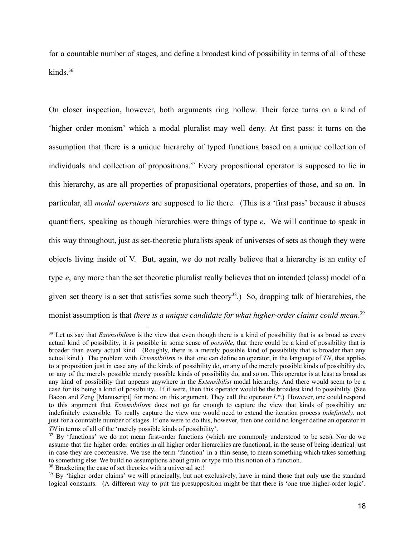for a countable number of stages, and define a broadest kind of possibility in terms of all of these kinds. $36$ 

On closer inspection, however, both arguments ring hollow. Their force turns on a kind of 'higher order monism' which a modal pluralist may well deny. At first pass: it turns on the assumption that there is a unique hierarchy of typed functions based on a unique collection of individuals and collection of propositions.<sup>37</sup> Every propositional operator is supposed to lie in this hierarchy, as are all properties of propositional operators, properties of those, and so on. In particular, all *modal operators* are supposed to lie there. (This is a 'first pass' because it abuses quantifiers, speaking as though hierarchies were things of type *e*. We will continue to speak in this way throughout, just as set-theoretic pluralists speak of universes of sets as though they were objects living inside of V. But, again, we do not really believe that a hierarchy is an entity of type *e*, any more than the set theoretic pluralist really believes that an intended (class) model of a given set theory is a set that satisfies some such theory<sup>38</sup>.) So, dropping talk of hierarchies, the monist assumption is that *there is a unique candidate for what higher-order claims could mean*. 39

<sup>&</sup>lt;sup>36</sup> Let us say that *Extensibilism* is the view that even though there is a kind of possibility that is as broad as every actual kind of possibility, it is possible in some sense of *possible*, that there could be a kind of possibility that is broader than every actual kind. (Roughly, there is a merely possible kind of possibility that is broader than any actual kind.) The problem with *Extensibilism* is that one can define an operator, in the language of *TN*, that applies to a proposition just in case any of the kinds of possibility do, or any of the merely possible kinds of possibility do, or any of the merely possible merely possible kinds of possibility do, and so on. This operator is at least as broad as any kind of possibility that appears anywhere in the *Extensibilist* modal hierarchy. And there would seem to be a case for its being a kind of possibility. If it were, then this operator would be the broadest kind fo possibility. (See Bacon and Zeng [Manuscript] for more on this argument. They call the operator *L\**.) However, one could respond to this argument that *Extensibilism* does not go far enough to capture the view that kinds of possibility are indefinitely extensible. To really capture the view one would need to extend the iteration process *indefinitely*, not just for a countable number of stages. If one were to do this, however, then one could no longer define an operator in *TN* in terms of all of the 'merely possible kinds of possibility'.

<sup>&</sup>lt;sup>37</sup> By 'functions' we do not mean first-order functions (which are commonly understood to be sets). Nor do we assume that the higher order entities in all higher order hierarchies are functional, in the sense of being identical just in case they are coextensive. We use the term 'function' in a thin sense, to mean something which takes something to something else. We build no assumptions about grain or type into this notion of a function.

<sup>&</sup>lt;sup>38</sup> Bracketing the case of set theories with a universal set!

<sup>&</sup>lt;sup>39</sup> By 'higher order claims' we will principally, but not exclusively, have in mind those that only use the standard logical constants. (A different way to put the presupposition might be that there is 'one true higher-order logic'.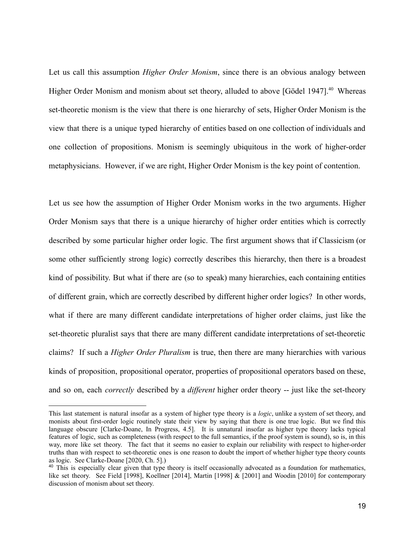Let us call this assumption *Higher Order Monism*, since there is an obvious analogy between Higher Order Monism and monism about set theory, alluded to above [Gödel 1947].<sup>40</sup> Whereas set-theoretic monism is the view that there is one hierarchy of sets, Higher Order Monism is the view that there is a unique typed hierarchy of entities based on one collection of individuals and one collection of propositions. Monism is seemingly ubiquitous in the work of higher-order metaphysicians. However, if we are right, Higher Order Monism is the key point of contention.

Let us see how the assumption of Higher Order Monism works in the two arguments. Higher Order Monism says that there is a unique hierarchy of higher order entities which is correctly described by some particular higher order logic. The first argument shows that if Classicism (or some other sufficiently strong logic) correctly describes this hierarchy, then there is a broadest kind of possibility. But what if there are (so to speak) many hierarchies, each containing entities of different grain, which are correctly described by different higher order logics? In other words, what if there are many different candidate interpretations of higher order claims, just like the set-theoretic pluralist says that there are many different candidate interpretations of set-theoretic claims? If such a *Higher Order Pluralism* is true, then there are many hierarchies with various kinds of proposition, propositional operator, properties of propositional operators based on these, and so on, each *correctly* described by a *different* higher order theory -- just like the set-theory

This last statement is natural insofar as a system of higher type theory is a *logic*, unlike a system of set theory, and monists about first-order logic routinely state their view by saying that there is one true logic. But we find this language obscure [Clarke-Doane, In Progress, 4.5]. It is unnatural insofar as higher type theory lacks typical features of logic, such as completeness (with respect to the full semantics, if the proof system is sound), so is, in this way, more like set theory. The fact that it seems no easier to explain our reliability with respect to higher-order truths than with respect to set-theoretic ones is one reason to doubt the import of whether higher type theory counts as logic. See Clarke-Doane [2020, Ch. 5].)

<sup>&</sup>lt;sup>40</sup> This is especially clear given that type theory is itself occasionally advocated as a foundation for mathematics, like set theory. See Field [1998], Koellner [2014], Martin [1998] & [2001] and Woodin [2010] for contemporary discussion of monism about set theory.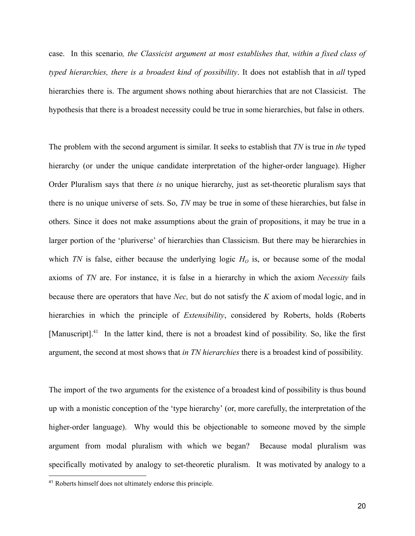case. In this scenario*, the Classicist argument at most establishes that, within a fixed class of typed hierarchies, there is a broadest kind of possibility*. It does not establish that in *all* typed hierarchies there is. The argument shows nothing about hierarchies that are not Classicist. The hypothesis that there is a broadest necessity could be true in some hierarchies, but false in others.

The problem with the second argument is similar. It seeks to establish that *TN* is true in *the* typed hierarchy (or under the unique candidate interpretation of the higher-order language). Higher Order Pluralism says that there *is* no unique hierarchy, just as set-theoretic pluralism says that there is no unique universe of sets. So, *TN* may be true in some of these hierarchies, but false in others. Since it does not make assumptions about the grain of propositions, it may be true in a larger portion of the 'pluriverse' of hierarchies than Classicism. But there may be hierarchies in which *TN* is false, either because the underlying logic  $H<sub>O</sub>$  is, or because some of the modal axioms of *TN* are. For instance, it is false in a hierarchy in which the axiom *Necessity* fails because there are operators that have *Nec,* but do not satisfy the *K* axiom of modal logic, and in hierarchies in which the principle of *Extensibility*, considered by Roberts, holds (Roberts [Manuscript].<sup>41</sup> In the latter kind, there is not a broadest kind of possibility. So, like the first argument, the second at most shows that *in TN hierarchies* there is a broadest kind of possibility.

The import of the two arguments for the existence of a broadest kind of possibility is thus bound up with a monistic conception of the 'type hierarchy' (or, more carefully, the interpretation of the higher-order language). Why would this be objectionable to someone moved by the simple argument from modal pluralism with which we began? Because modal pluralism was specifically motivated by analogy to set-theoretic pluralism. It was motivated by analogy to a

<sup>41</sup> Roberts himself does not ultimately endorse this principle.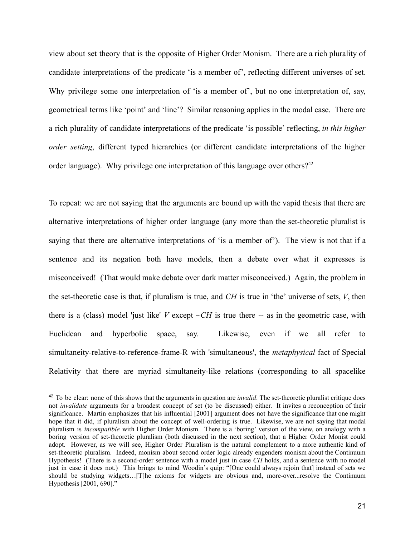view about set theory that is the opposite of Higher Order Monism. There are a rich plurality of candidate interpretations of the predicate 'is a member of', reflecting different universes of set. Why privilege some one interpretation of 'is a member of', but no one interpretation of, say, geometrical terms like 'point' and 'line'? Similar reasoning applies in the modal case. There are a rich plurality of candidate interpretations of the predicate 'is possible' reflecting, *in this higher order setting*, different typed hierarchies (or different candidate interpretations of the higher order language). Why privilege one interpretation of this language over others?<sup>42</sup>

To repeat: we are not saying that the arguments are bound up with the vapid thesis that there are alternative interpretations of higher order language (any more than the set-theoretic pluralist is saying that there are alternative interpretations of 'is a member of'). The view is not that if a sentence and its negation both have models, then a debate over what it expresses is misconceived! (That would make debate over dark matter misconceived.) Again, the problem in the set-theoretic case is that, if pluralism is true, and *CH* is true in 'the' universe of sets, *V*, then there is a (class) model 'just like' *V* except  $\sim$ *CH* is true there -- as in the geometric case, with Euclidean and hyperbolic space, say. Likewise, even if we all refer to simultaneity-relative-to-reference-frame-R with 'simultaneous', the *metaphysical* fact of Special Relativity that there are myriad simultaneity-like relations (corresponding to all spacelike

<sup>42</sup> To be clear: none of this shows that the arguments in question are *invalid*. The set-theoretic pluralist critique does not *invalidate* arguments for a broadest concept of set (to be discussed) either. It invites a reconception of their significance. Martin emphasizes that his influential [2001] argument does not have the significance that one might hope that it did, if pluralism about the concept of well-ordering is true. Likewise, we are not saying that modal pluralism is *incompatible* with Higher Order Monism. There is a 'boring' version of the view, on analogy with a boring version of set-theoretic pluralism (both discussed in the next section), that a Higher Order Monist could adopt. However, as we will see, Higher Order Pluralism is the natural complement to a more authentic kind of set-theoretic pluralism. Indeed, monism about second order logic already engenders monism about the Continuum Hypothesis! (There is a second-order sentence with a model just in case *CH* holds, and a sentence with no model just in case it does not.) This brings to mind Woodin's quip: "[One could always rejoin that] instead of sets we should be studying widgets…[T]he axioms for widgets are obvious and, more-over...resolve the Continuum Hypothesis [2001, 690]."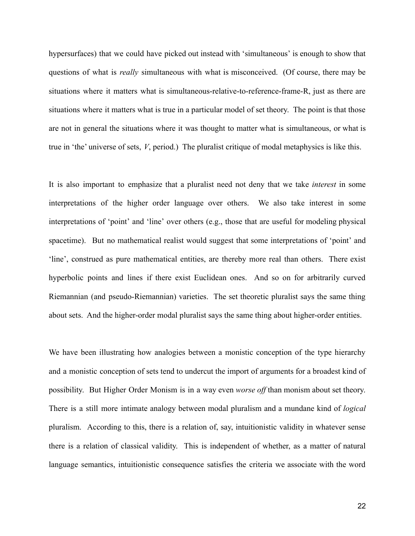hypersurfaces) that we could have picked out instead with 'simultaneous' is enough to show that questions of what is *really* simultaneous with what is misconceived. (Of course, there may be situations where it matters what is simultaneous-relative-to-reference-frame-R, just as there are situations where it matters what is true in a particular model of set theory. The point is that those are not in general the situations where it was thought to matter what is simultaneous, or what is true in 'the' universe of sets, *V*, period.) The pluralist critique of modal metaphysics is like this.

It is also important to emphasize that a pluralist need not deny that we take *interest* in some interpretations of the higher order language over others. We also take interest in some interpretations of 'point' and 'line' over others (e.g., those that are useful for modeling physical spacetime). But no mathematical realist would suggest that some interpretations of 'point' and 'line', construed as pure mathematical entities, are thereby more real than others. There exist hyperbolic points and lines if there exist Euclidean ones. And so on for arbitrarily curved Riemannian (and pseudo-Riemannian) varieties. The set theoretic pluralist says the same thing about sets. And the higher-order modal pluralist says the same thing about higher-order entities.

We have been illustrating how analogies between a monistic conception of the type hierarchy and a monistic conception of sets tend to undercut the import of arguments for a broadest kind of possibility. But Higher Order Monism is in a way even *worse off* than monism about set theory. There is a still more intimate analogy between modal pluralism and a mundane kind of *logical* pluralism. According to this, there is a relation of, say, intuitionistic validity in whatever sense there is a relation of classical validity. This is independent of whether, as a matter of natural language semantics, intuitionistic consequence satisfies the criteria we associate with the word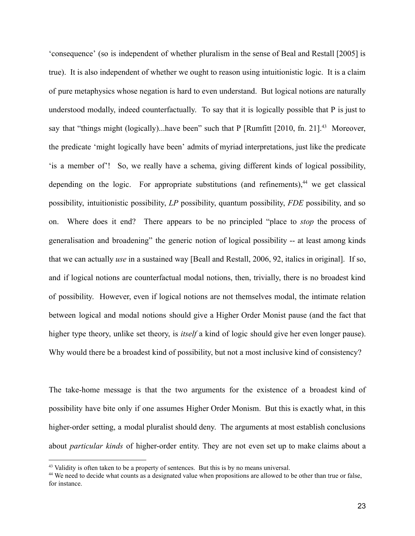'consequence' (so is independent of whether pluralism in the sense of Beal and Restall [2005] is true). It is also independent of whether we ought to reason using intuitionistic logic. It is a claim of pure metaphysics whose negation is hard to even understand. But logical notions are naturally understood modally, indeed counterfactually. To say that it is logically possible that P is just to say that "things might (logically)...have been" such that P [Rumfitt [2010, fn. 21].<sup>43</sup> Moreover, the predicate 'might logically have been' admits of myriad interpretations, just like the predicate 'is a member of'! So, we really have a schema, giving different kinds of logical possibility, depending on the logic. For appropriate substitutions (and refinements), $44$  we get classical possibility, intuitionistic possibility, *LP* possibility, quantum possibility, *FDE* possibility, and so on. Where does it end? There appears to be no principled "place to *stop* the process of generalisation and broadening" the generic notion of logical possibility -- at least among kinds that we can actually *use* in a sustained way [Beall and Restall, 2006, 92, italics in original]. If so, and if logical notions are counterfactual modal notions, then, trivially, there is no broadest kind of possibility. However, even if logical notions are not themselves modal, the intimate relation between logical and modal notions should give a Higher Order Monist pause (and the fact that higher type theory, unlike set theory, is *itself* a kind of logic should give her even longer pause). Why would there be a broadest kind of possibility, but not a most inclusive kind of consistency?

The take-home message is that the two arguments for the existence of a broadest kind of possibility have bite only if one assumes Higher Order Monism. But this is exactly what, in this higher-order setting, a modal pluralist should deny. The arguments at most establish conclusions about *particular kinds* of higher-order entity. They are not even set up to make claims about a

<sup>&</sup>lt;sup>43</sup> Validity is often taken to be a property of sentences. But this is by no means universal.

<sup>&</sup>lt;sup>44</sup> We need to decide what counts as a designated value when propositions are allowed to be other than true or false, for instance.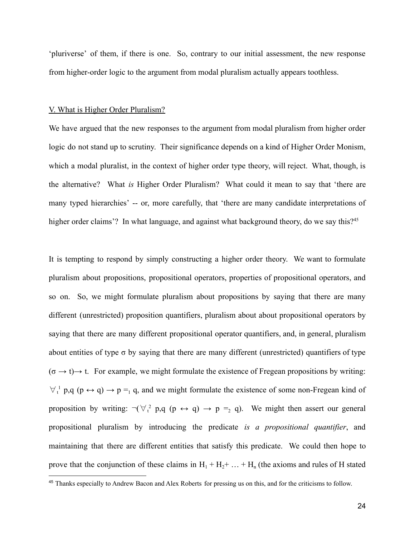'pluriverse' of them, if there is one. So, contrary to our initial assessment, the new response from higher-order logic to the argument from modal pluralism actually appears toothless.

#### V. What is Higher Order Pluralism?

We have argued that the new responses to the argument from modal pluralism from higher order logic do not stand up to scrutiny. Their significance depends on a kind of Higher Order Monism, which a modal pluralist, in the context of higher order type theory, will reject. What, though, is the alternative? What *is* Higher Order Pluralism? What could it mean to say that 'there are many typed hierarchies' -- or, more carefully, that 'there are many candidate interpretations of higher order claims'? In what language, and against what background theory, do we say this?<sup>45</sup>

It is tempting to respond by simply constructing a higher order theory. We want to formulate pluralism about propositions, propositional operators, properties of propositional operators, and so on. So, we might formulate pluralism about propositions by saying that there are many different (unrestricted) proposition quantifiers, pluralism about about propositional operators by saying that there are many different propositional operator quantifiers, and, in general, pluralism about entities of type  $\sigma$  by saying that there are many different (unrestricted) quantifiers of type (σ *→* t)*→* t. For example, we might formulate the existence of Fregean propositions by writing:  $\forall_{t}^{1}$  p,q (p  $\leftrightarrow$  q)  $\rightarrow$  p =<sub>1</sub> q, and we might formulate the existence of some non-Fregean kind of proposition by writing:  $\neg(\forall_i^2 p, q \ (p \leftrightarrow q) \rightarrow p =_2 q)$ . We might then assert our general propositional pluralism by introducing the predicate *is a propositional quantifier*, and maintaining that there are different entities that satisfy this predicate. We could then hope to prove that the conjunction of these claims in  $H_1 + H_2 + ... + H_n$  (the axioms and rules of H stated

<sup>45</sup> Thanks especially to Andrew Bacon and Alex Roberts for pressing us on this, and for the criticisms to follow.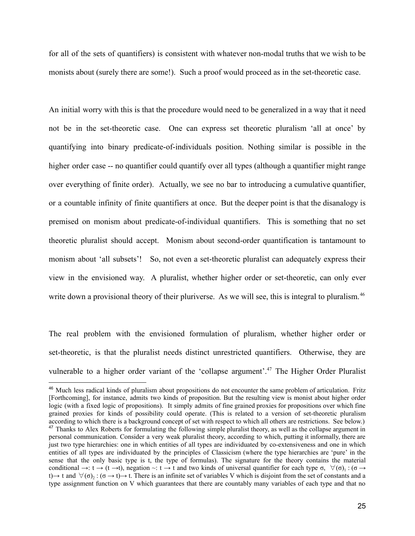for all of the sets of quantifiers) is consistent with whatever non-modal truths that we wish to be monists about (surely there are some!). Such a proof would proceed as in the set-theoretic case.

An initial worry with this is that the procedure would need to be generalized in a way that it need not be in the set-theoretic case. One can express set theoretic pluralism 'all at once' by quantifying into binary predicate-of-individuals position. Nothing similar is possible in the higher order case -- no quantifier could quantify over all types (although a quantifier might range over everything of finite order). Actually, we see no bar to introducing a cumulative quantifier, or a countable infinity of finite quantifiers at once. But the deeper point is that the disanalogy is premised on monism about predicate-of-individual quantifiers. This is something that no set theoretic pluralist should accept. Monism about second-order quantification is tantamount to monism about 'all subsets'! So, not even a set-theoretic pluralist can adequately express their view in the envisioned way. A pluralist, whether higher order or set-theoretic, can only ever write down a provisional theory of their pluriverse. As we will see, this is integral to pluralism.<sup>46</sup>

The real problem with the envisioned formulation of pluralism, whether higher order or set-theoretic, is that the pluralist needs distinct unrestricted quantifiers. Otherwise, they are vulnerable to a higher order variant of the 'collapse argument'.<sup>47</sup> The Higher Order Pluralist

<sup>&</sup>lt;sup>47</sup> Thanks to Alex Roberts for formulating the following simple pluralist theory, as well as the collapse argument in personal communication. Consider a very weak pluralist theory, according to which, putting it informally, there are just two type hierarchies: one in which entities of all types are individuated by co-extensiveness and one in which entities of all types are individuated by the principles of Classicism (where the type hierarchies are 'pure' in the sense that the only basic type is t, the type of formulas). The signature for the theory contains the material conditional  $\rightarrow$ : t  $\rightarrow$  (t  $\rightarrow$ t), negation  $\sim$ : t  $\rightarrow$  t and two kinds of universal quantifier for each type  $\sigma$ ,  $\forall (\sigma)$ <sub>1</sub>: ( $\sigma \rightarrow$ t)  $\to$  t and  $\forall (\sigma)_2 : (\sigma \to t) \to t$ . There is an infinite set of variables V which is disjoint from the set of constants and a type assignment function on V which guarantees that there are countably many variables of each type and that no <sup>46</sup> Much less radical kinds of pluralism about propositions do not encounter the same problem of articulation. Fritz [Forthcoming], for instance, admits two kinds of proposition. But the resulting view is monist about higher order logic (with a fixed logic of propositions). It simply admits of fine grained proxies for propositions over which fine grained proxies for kinds of possibility could operate. (This is related to a version of set-theoretic pluralism according to which there is a background concept of set with respect to which all others are restrictions. See below.)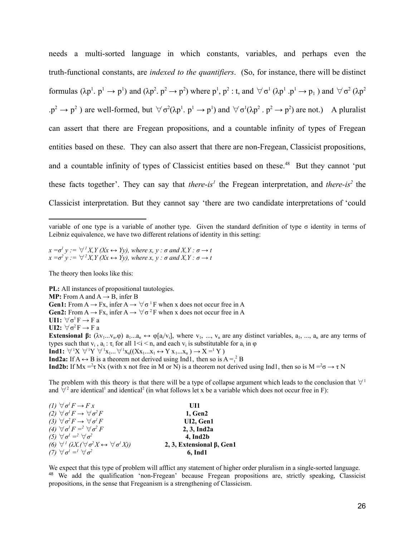needs a multi-sorted language in which constants, variables, and perhaps even the truth-functional constants, are *indexed to the quantifiers*. (So, for instance, there will be distinct formulas  $(\lambda p^1 \cdot p^1 \rightarrow p^1)$  and  $(\lambda p^2 \cdot p^2 \rightarrow p^2)$  where  $p^1$ ,  $p^2$ : t, and  $\forall \sigma^1 (\lambda p^1 \cdot p^1 \rightarrow p_1)$  and  $\forall \sigma^2 (\lambda p^2)$  $\langle p^2 \to p^2 \rangle$  are well-formed, but  $\forall \sigma^2(\lambda p^1, p^1 \to p^1)$  and  $\forall \sigma^1(\lambda p^2, p^2 \to p^2)$  are not.) A pluralist can assert that there are Fregean propositions, and a countable infinity of types of Fregean entities based on these. They can also assert that there are non-Fregean, Classicist propositions, and a countable infinity of types of Classicist entities based on these.<sup>48</sup> But they cannot 'put these facts together'. They can say that *there-is<sup>1</sup>* the Fregean interpretation, and *there-is<sup>2</sup>* the Classicist interpretation. But they cannot say 'there are two candidate interpretations of 'could

 $x = \sigma^l$   $y := \forall^l X, Y \ (Xx \leftrightarrow Yy)$ , where  $x, y : \sigma$  and  $X, Y : \sigma \rightarrow t$  $x = \sigma^2$   $y := \forall^2 X, Y \ (Xx \leftrightarrow Yy), \ where \ x, y : \sigma \ and \ X, Y : \sigma \rightarrow t$ 

The theory then looks like this:

**PL:** All instances of propositional tautologies. **MP:** From A and  $A \rightarrow B$ , infer B **Gen1:** From  $A \rightarrow Fx$ , infer  $A \rightarrow \forall \sigma$ <sup>1</sup> F when x does not occur free in A **Gen2:** From  $A \rightarrow Fx$ , infer  $A \rightarrow \forall \sigma^2 F$  when x does not occur free in A **UI1:**  $\forall \sigma^1 F \rightarrow F a$ **UI2:**  $\forall \sigma^2 F \rightarrow F a$ **Extensional β:**  $(\lambda v_1...\nu_n.\varphi)$  a<sub>1</sub>...a<sub>n</sub>  $\leftrightarrow \varphi[a_i/v_i]$ , where  $v_1, ..., v_n$  are any distinct variables, a<sub>1</sub>, ..., a<sub>n</sub> are any terms of types such that  $v_i$ ,  $a_i$ :  $\tau_i$  for all  $1 \le i \le n$ , and each  $v_i$  is substitutable for  $a_i$  in  $\varphi$ **Ind1:**  $\forall$ <sup>1</sup>X  $\forall$ <sup>1</sup>Y  $\forall$ <sup>1</sup>x<sub>1</sub>... $\forall$ <sup>1</sup>x<sub>n</sub>((Xx<sub>1</sub>...x<sub>1</sub>  $\leftrightarrow$  Y x<sub>1</sub>...x<sub>n</sub>)  $\rightarrow$  X =<sup>1</sup> Y) **Ind2a:** If  $A \leftrightarrow B$  is a theorem not derived using Ind1, then so is  $A = \binom{2}{t} B$ **Ind2b:** If Mx  $=$ <sup>2</sup> $\tau$  Nx (with x not free in M or N) is a theorem not derived using Ind1, then so is M  $=$ <sup>2</sup> $\sigma \rightarrow \tau$  N

The problem with this theory is that there will be a type of collapse argument which leads to the conclusion that  $\forall$ <sup>1</sup> and  $\forall^2$  are identical<sup>1</sup> and identical<sup>2</sup> (in what follows let x be a variable which does not occur free in F):

| (1) $\forall \sigma^I F \rightarrow F x$                                             | UH1                       |
|--------------------------------------------------------------------------------------|---------------------------|
| (2) $\forall \sigma^I F \rightarrow \forall \sigma^2 F$                              | 1, Gen2                   |
| (3) $\forall \sigma^2 F \rightarrow \forall \sigma^1 F$                              | UI2, Gen1                 |
| (4) $\forall \sigma^I F = \forall \sigma^2 F$                                        | $2, 3$ , Ind $2a$         |
| (5) $\forall \sigma^1 = \forall \sigma^2$                                            | 4. Ind2b                  |
| (6) $\forall^1 (\lambda X. (\forall \sigma^2 X \leftrightarrow \forall \sigma^1 X))$ | 2, 3, Extensional B, Gen1 |
| (7) $\forall \sigma^l = l \forall \sigma^2$                                          | 6, Ind1                   |

<sup>48</sup> We add the qualification 'non-Fregean' because Fregean propositions are, strictly speaking, Classicist propositions, in the sense that Fregeanism is a strengthening of Classicism. We expect that this type of problem will afflict any statement of higher order pluralism in a single-sorted language.

variable of one type is a variable of another type. Given the standard definition of type  $\sigma$  identity in terms of Leibniz equivalence, we have two different relations of identity in this setting: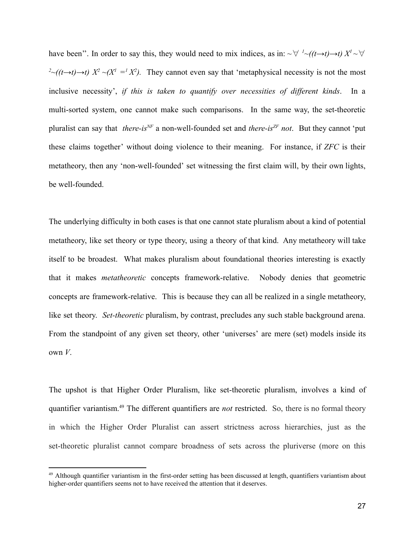have been". In order to say this, they would need to mix indices, as in:  $\sim \forall l \sim ((t \rightarrow t) \rightarrow t) X^l \sim \forall l$  $2\text{-(}(t\rightarrow t)\rightarrow t)$   $X^2 \sim (X^1 - X^2)$ . They cannot even say that 'metaphysical necessity is not the most inclusive necessity', *if this is taken to quantify over necessities of different kinds*. In a multi-sorted system, one cannot make such comparisons. In the same way, the set-theoretic pluralist can say that *there-isNF* a non-well-founded set and *there-isZF not*. But they cannot 'put these claims together' without doing violence to their meaning. For instance, if *ZFC* is their metatheory, then any 'non-well-founded' set witnessing the first claim will, by their own lights, be well-founded.

The underlying difficulty in both cases is that one cannot state pluralism about a kind of potential metatheory, like set theory or type theory, using a theory of that kind. Any metatheory will take itself to be broadest. What makes pluralism about foundational theories interesting is exactly that it makes *metatheoretic* concepts framework-relative. Nobody denies that geometric concepts are framework-relative. This is because they can all be realized in a single metatheory, like set theory. *Set-theoretic* pluralism, by contrast, precludes any such stable background arena. From the standpoint of any given set theory, other 'universes' are mere (set) models inside its own *V*.

The upshot is that Higher Order Pluralism, like set-theoretic pluralism, involves a kind of quantifier variantism.<sup>49</sup> The different quantifiers are *not* restricted. So, there is no formal theory in which the Higher Order Pluralist can assert strictness across hierarchies, just as the set-theoretic pluralist cannot compare broadness of sets across the pluriverse (more on this

 $49$  Although quantifier variantism in the first-order setting has been discussed at length, quantifiers variantism about higher-order quantifiers seems not to have received the attention that it deserves.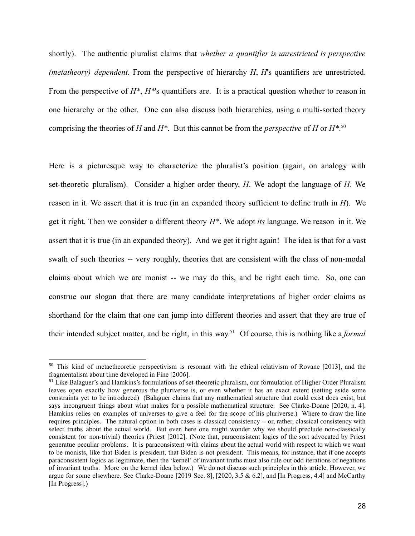shortly). The authentic pluralist claims that *whether a quantifier is unrestricted is perspective (metatheory) dependent*. From the perspective of hierarchy *H*, *H*'s quantifiers are unrestricted. From the perspective of *H\**, *H\**'s quantifiers are. It is a practical question whether to reason in one hierarchy or the other. One can also discuss both hierarchies, using a multi-sorted theory comprising the theories of *H* and *H\**. But this cannot be from the *perspective* of *H* or *H\**. 50

Here is a picturesque way to characterize the pluralist's position (again, on analogy with set-theoretic pluralism). Consider a higher order theory, *H*. We adopt the language of *H*. We reason in it. We assert that it is true (in an expanded theory sufficient to define truth in *H*). We get it right. Then we consider a different theory *H\**. We adopt *its* language. We reason in it. We assert that it is true (in an expanded theory). And we get it right again! The idea is that for a vast swath of such theories -- very roughly, theories that are consistent with the class of non-modal claims about which we are monist -- we may do this, and be right each time. So, one can construe our slogan that there are many candidate interpretations of higher order claims as shorthand for the claim that one can jump into different theories and assert that they are true of their intended subject matter, and be right, in this way. <sup>51</sup> Of course, this is nothing like a *formal*

<sup>&</sup>lt;sup>50</sup> This kind of metaetheoretic perspectivism is resonant with the ethical relativism of Rovane [2013], and the fragmentalism about time developed in Fine [2006].

<sup>&</sup>lt;sup>51</sup> Like Balaguer's and Hamkins's formulations of set-theoretic pluralism, our formulation of Higher Order Pluralism leaves open exactly how generous the pluriverse is, or even whether it has an exact extent (setting aside some constraints yet to be introduced) (Balaguer claims that any mathematical structure that could exist does exist, but says incongruent things about what makes for a possible mathematical structure. See Clarke-Doane [2020, n. 4]. Hamkins relies on examples of universes to give a feel for the scope of his pluriverse.) Where to draw the line requires principles. The natural option in both cases is classical consistency -- or, rather, classical consistency with select truths about the actual world. But even here one might wonder why we should preclude non-classically consistent (or non-trivial) theories (Priest [2012]. (Note that, paraconsistent logics of the sort advocated by Priest generatue peculiar problems. It is paraconsistent with claims about the actual world with respect to which we want to be monists, like that Biden is president, that Biden is not president. This means, for instance, that if one accepts paraconsistent logics as legitimate, then the 'kernel' of invariant truths must also rule out odd iterations of negations of invariant truths. More on the kernel idea below.) We do not discuss such principles in this article. However, we argue for some elsewhere. See Clarke-Doane  $[2019 \text{ Sec. 8}]$ ,  $[2020, 3.5 \& 6.2]$ , and  $[In$  Progress, 4.4] and McCarthy [In Progress].)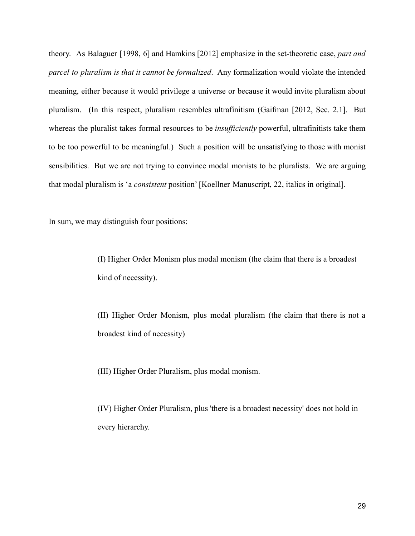theory. As Balaguer [1998, 6] and Hamkins [2012] emphasize in the set-theoretic case, *part and parcel to pluralism is that it cannot be formalized*. Any formalization would violate the intended meaning, either because it would privilege a universe or because it would invite pluralism about pluralism. (In this respect, pluralism resembles ultrafinitism (Gaifman [2012, Sec. 2.1]. But whereas the pluralist takes formal resources to be *insufficiently* powerful, ultrafinitists take them to be too powerful to be meaningful.) Such a position will be unsatisfying to those with monist sensibilities. But we are not trying to convince modal monists to be pluralists. We are arguing that modal pluralism is 'a *consistent* position' [Koellner Manuscript, 22, italics in original].

In sum, we may distinguish four positions:

(I) Higher Order Monism plus modal monism (the claim that there is a broadest kind of necessity).

(II) Higher Order Monism, plus modal pluralism (the claim that there is not a broadest kind of necessity)

(III) Higher Order Pluralism, plus modal monism.

(IV) Higher Order Pluralism, plus 'there is a broadest necessity' does not hold in every hierarchy.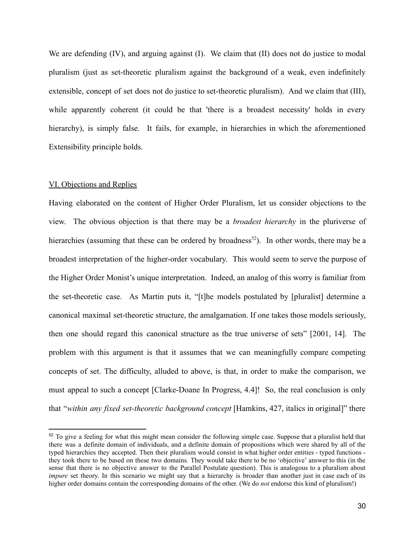We are defending (IV), and arguing against (I). We claim that (II) does not do justice to modal pluralism (just as set-theoretic pluralism against the background of a weak, even indefinitely extensible, concept of set does not do justice to set-theoretic pluralism). And we claim that (III), while apparently coherent (it could be that 'there is a broadest necessity' holds in every hierarchy), is simply false. It fails, for example, in hierarchies in which the aforementioned Extensibility principle holds.

### VI. Objections and Replies

Having elaborated on the content of Higher Order Pluralism, let us consider objections to the view. The obvious objection is that there may be a *broadest hierarchy* in the pluriverse of hierarchies (assuming that these can be ordered by broadness<sup>52</sup>). In other words, there may be a broadest interpretation of the higher-order vocabulary. This would seem to serve the purpose of the Higher Order Monist's unique interpretation. Indeed, an analog of this worry is familiar from the set-theoretic case. As Martin puts it, "[t]he models postulated by [pluralist] determine a canonical maximal set-theoretic structure, the amalgamation. If one takes those models seriously, then one should regard this canonical structure as the true universe of sets" [2001, 14]. The problem with this argument is that it assumes that we can meaningfully compare competing concepts of set. The difficulty, alluded to above, is that, in order to make the comparison, we must appeal to such a concept [Clarke-Doane In Progress, 4.4]! So, the real conclusion is only that "*within any fixed set-theoretic background concept* [Hamkins, 427, italics in original]" there

 $52$  To give a feeling for what this might mean consider the following simple case. Suppose that a pluralist held that there was a definite domain of individuals, and a definite domain of propositions which were shared by all of the typed hierarchies they accepted. Then their pluralism would consist in what higher order entities - typed functions they took there to be based on these two domains. They would take there to be no 'objective' answer to this (in the sense that there is no objective answer to the Parallel Postulate question). This is analogous to a pluralism about *impure* set theory. In this scenario we might say that a hierarchy is broader than another just in case each of its higher order domains contain the corresponding domains of the other. (We do *not* endorse this kind of pluralism!)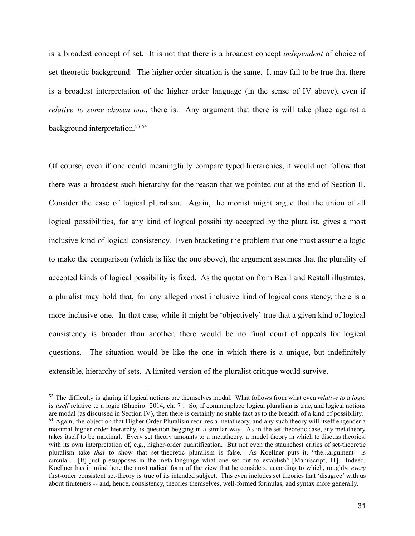is a broadest concept of set. It is not that there is a broadest concept *independent* of choice of set-theoretic background. The higher order situation is the same. It may fail to be true that there is a broadest interpretation of the higher order language (in the sense of IV above), even if *relative to some chosen one*, there is. Any argument that there is will take place against a background interpretation.<sup>53</sup> <sup>54</sup>

Of course, even if one could meaningfully compare typed hierarchies, it would not follow that there was a broadest such hierarchy for the reason that we pointed out at the end of Section II. Consider the case of logical pluralism. Again, the monist might argue that the union of all logical possibilities, for any kind of logical possibility accepted by the pluralist, gives a most inclusive kind of logical consistency. Even bracketing the problem that one must assume a logic to make the comparison (which is like the one above), the argument assumes that the plurality of accepted kinds of logical possibility is fixed. As the quotation from Beall and Restall illustrates, a pluralist may hold that, for any alleged most inclusive kind of logical consistency, there is a more inclusive one. In that case, while it might be 'objectively' true that a given kind of logical consistency is broader than another, there would be no final court of appeals for logical questions. The situation would be like the one in which there is a unique, but indefinitely extensible, hierarchy of sets. A limited version of the pluralist critique would survive.

<sup>&</sup>lt;sup>54</sup> Again, the objection that Higher Order Pluralism requires a metatheory, and any such theory will itself engender a maximal higher order hierarchy, is question-begging in a similar way. As in the set-theoretic case, any metatheory takes itself to be maximal. Every set theory amounts to a metatheory, a model theory in which to discuss theories, with its own interpretation of, e.g., higher-order quantification. But not even the staunchest critics of set-theoretic pluralism take *that* to show that set-theoretic pluralism is false. As Koellner puts it, "the...argument is circular….[It] just presupposes in the meta-language what one set out to establish" [Manuscript, 11]. Indeed, Koellner has in mind here the most radical form of the view that he considers, according to which, roughly, *every* first-order consistent set-theory is true of its intended subject. This even includes set theories that 'disagree' with us about finiteness -- and, hence, consistency, theories themselves, well-formed formulas, and syntax more generally. <sup>53</sup> The difficulty is glaring if logical notions are themselves modal. What follows from what even *relative to a logic* is *itself* relative to a logic (Shapiro [2014, ch. 7]. So, if commonplace logical pluralism is true, and logical notions are modal (as discussed in Section IV), then there is certainly no stable fact as to the breadth of a kind of possibility.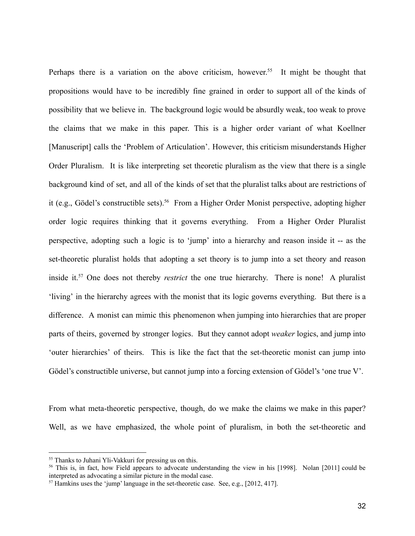Perhaps there is a variation on the above criticism, however.<sup>55</sup> It might be thought that propositions would have to be incredibly fine grained in order to support all of the kinds of possibility that we believe in. The background logic would be absurdly weak, too weak to prove the claims that we make in this paper. This is a higher order variant of what Koellner [Manuscript] calls the 'Problem of Articulation'. However, this criticism misunderstands Higher Order Pluralism. It is like interpreting set theoretic pluralism as the view that there is a single background kind of set, and all of the kinds of set that the pluralist talks about are restrictions of it (e.g., Gödel's constructible sets).<sup>56</sup> From a Higher Order Monist perspective, adopting higher order logic requires thinking that it governs everything. From a Higher Order Pluralist perspective, adopting such a logic is to 'jump' into a hierarchy and reason inside it -- as the set-theoretic pluralist holds that adopting a set theory is to jump into a set theory and reason inside it.<sup>57</sup> One does not thereby *restrict* the one true hierarchy. There is none! A pluralist 'living' in the hierarchy agrees with the monist that its logic governs everything. But there is a difference. A monist can mimic this phenomenon when jumping into hierarchies that are proper parts of theirs, governed by stronger logics. But they cannot adopt *weaker* logics, and jump into 'outer hierarchies' of theirs. This is like the fact that the set-theoretic monist can jump into Gödel's constructible universe, but cannot jump into a forcing extension of Gödel's 'one true V'.

From what meta-theoretic perspective, though, do we make the claims we make in this paper? Well, as we have emphasized, the whole point of pluralism, in both the set-theoretic and

<sup>&</sup>lt;sup>55</sup> Thanks to Juhani Yli-Vakkuri for pressing us on this.

<sup>&</sup>lt;sup>56</sup> This is, in fact, how Field appears to advocate understanding the view in his [1998]. Nolan [2011] could be interpreted as advocating a similar picture in the modal case.

<sup>57</sup> Hamkins uses the 'jump' language in the set-theoretic case. See, e.g., [2012, 417].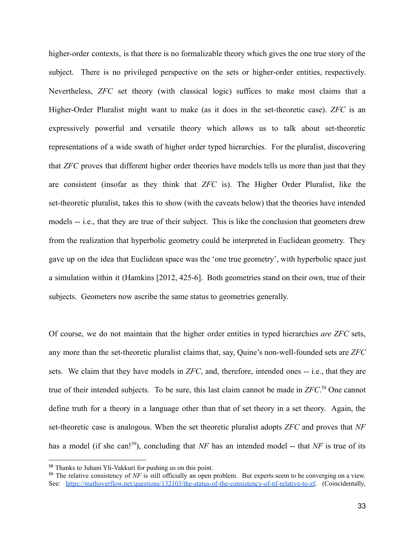higher-order contexts, is that there is no formalizable theory which gives the one true story of the subject. There is no privileged perspective on the sets or higher-order entities, respectively. Nevertheless, *ZFC* set theory (with classical logic) suffices to make most claims that a Higher-Order Pluralist might want to make (as it does in the set-theoretic case). *ZFC* is an expressively powerful and versatile theory which allows us to talk about set-theoretic representations of a wide swath of higher order typed hierarchies. For the pluralist, discovering that *ZFC* proves that different higher order theories have models tells us more than just that they are consistent (insofar as they think that *ZFC* is). The Higher Order Pluralist, like the set-theoretic pluralist, takes this to show (with the caveats below) that the theories have intended models -- i.e., that they are true of their subject. This is like the conclusion that geometers drew from the realization that hyperbolic geometry could be interpreted in Euclidean geometry. They gave up on the idea that Euclidean space was the 'one true geometry', with hyperbolic space just a simulation within it (Hamkins [2012, 425-6]. Both geometries stand on their own, true of their subjects. Geometers now ascribe the same status to geometries generally.

Of course, we do not maintain that the higher order entities in typed hierarchies *are ZFC* sets, any more than the set-theoretic pluralist claims that, say, Quine's non-well-founded sets are *ZFC* sets. We claim that they have models in *ZFC*, and, therefore, intended ones -- i.e., that they are true of their intended subjects. To be sure, this last claim cannot be made in *ZFC*. <sup>58</sup> One cannot define truth for a theory in a language other than that of set theory in a set theory. Again, the set-theoretic case is analogous. When the set theoretic pluralist adopts *ZFC* and proves that *NF* has a model (if she can!<sup>59</sup>), concluding that *NF* has an intended model -- that *NF* is true of its

<sup>58</sup> Thanks to Juhani Yli-Vakkuri for pushing us on this point.

<sup>&</sup>lt;sup>59</sup> The relative consistency of *NF* is still officially an open problem. But experts seem to be converging on a view. See: <https://mathoverflow.net/questions/132103/the-status-of-the-consistency-of-nf-relative-to-zf>. (Coincidentally,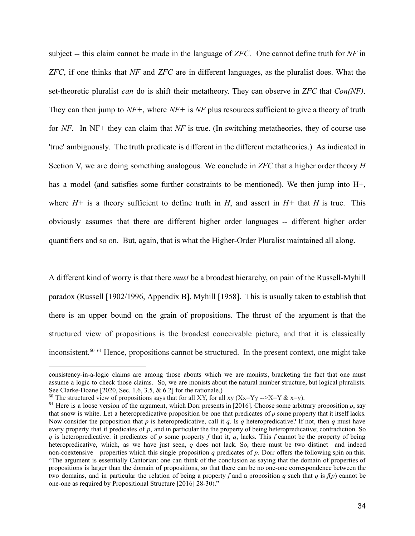subject -- this claim cannot be made in the language of *ZFC*. One cannot define truth for *NF* in *ZFC*, if one thinks that *NF* and *ZFC* are in different languages, as the pluralist does. What the set-theoretic pluralist *can* do is shift their metatheory. They can observe in *ZFC* that *Con(NF)*. They can then jump to *NF+*, where *NF+* is *NF* plus resources sufficient to give a theory of truth for *NF*. In NF+ they can claim that *NF* is true. (In switching metatheories, they of course use 'true' ambiguously. The truth predicate is different in the different metatheories.) As indicated in Section V, we are doing something analogous. We conclude in *ZFC* that a higher order theory *H* has a model (and satisfies some further constraints to be mentioned). We then jump into H+, where  $H^+$  is a theory sufficient to define truth in  $H$ , and assert in  $H^+$  that  $H$  is true. This obviously assumes that there are different higher order languages -- different higher order quantifiers and so on. But, again, that is what the Higher-Order Pluralist maintained all along.

A different kind of worry is that there *must* be a broadest hierarchy, on pain of the Russell-Myhill paradox (Russell [1902/1996, Appendix B], Myhill [1958]. This is usually taken to establish that there is an upper bound on the grain of propositions. The thrust of the argument is that the structured view of propositions is the broadest conceivable picture, and that it is classically inconsistent.<sup>60 61</sup> Hence, propositions cannot be structured. In the present context, one might take

consistency-in-a-logic claims are among those abouts which we are monists, bracketing the fact that one must assume a logic to check those claims. So, we are monists about the natural number structure, but logical pluralists. See Clarke-Doane [2020, Sec. 1.6, 3.5, & 6.2] for the rationale.)

<sup>&</sup>lt;sup>60</sup> The structured view of propositions says that for all XY, for all xy (Xx=Yy -->X=Y & x=y).

 $61$  Here is a loose version of the argument, which Dorr presents in [2016]. Choose some arbitrary proposition p, say that snow is white. Let a heteropredicative proposition be one that predicates of  $p$  some property that it itself lacks. Now consider the proposition that  $p$  is heteropredicative, call it  $q$ . Is  $q$  heteropredicative? If not, then  $q$  must have every property that it predicates of  $p$ , and in particular the the property of being heteropredicative; contradiction. So q is heteropredicative: it predicates of  $p$  some property  $f$  that it,  $q$ , lacks. This  $f$  cannot be the property of being heteropredicative, which, as we have just seen,  $q$  does not lack. So, there must be two distinct—and indeed non-coextensive—properties which this single proposition q predicates of  $p$ . Dorr offers the following spin on this. "The argument is essentially Cantorian: one can think of the conclusion as saying that the domain of properties of propositions is larger than the domain of propositions, so that there can be no one-one correspondence between the two domains, and in particular the relation of being a property f and a proposition q such that  $q$  is  $f(p)$  cannot be one-one as required by Propositional Structure [2016] 28-30)."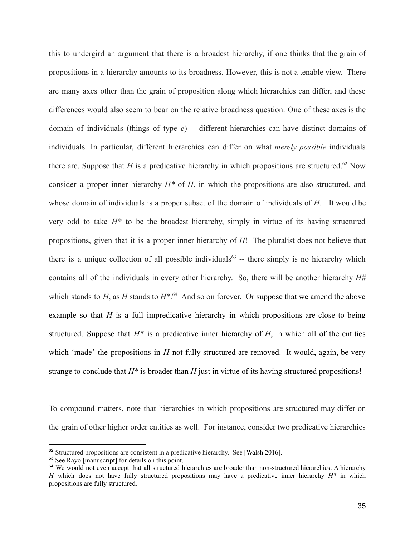this to undergird an argument that there is a broadest hierarchy, if one thinks that the grain of propositions in a hierarchy amounts to its broadness. However, this is not a tenable view. There are many axes other than the grain of proposition along which hierarchies can differ, and these differences would also seem to bear on the relative broadness question. One of these axes is the domain of individuals (things of type *e*) -- different hierarchies can have distinct domains of individuals. In particular, different hierarchies can differ on what *merely possible* individuals there are. Suppose that *H* is a predicative hierarchy in which propositions are structured.<sup>62</sup> Now consider a proper inner hierarchy *H\** of *H*, in which the propositions are also structured, and whose domain of individuals is a proper subset of the domain of individuals of *H*. It would be very odd to take *H\** to be the broadest hierarchy, simply in virtue of its having structured propositions, given that it is a proper inner hierarchy of *H*! The pluralist does not believe that there is a unique collection of all possible individuals $63$  -- there simply is no hierarchy which contains all of the individuals in every other hierarchy. So, there will be another hierarchy *H#* which stands to  $H$ , as  $H$  stands to  $H^{*,64}$  And so on forever. Or suppose that we amend the above example so that *H* is a full impredicative hierarchy in which propositions are close to being structured. Suppose that  $H^*$  is a predicative inner hierarchy of  $H$ , in which all of the entities which 'made' the propositions in *H* not fully structured are removed. It would, again, be very strange to conclude that *H\** is broader than *H* just in virtue of its having structured propositions!

To compound matters, note that hierarchies in which propositions are structured may differ on the grain of other higher order entities as well. For instance, consider two predicative hierarchies

<sup>&</sup>lt;sup>62</sup> Structured propositions are consistent in a predicative hierarchy. See [Walsh 2016].

<sup>&</sup>lt;sup>63</sup> See Rayo [manuscript] for details on this point.

 $64$  We would not even accept that all structured hierarchies are broader than non-structured hierarchies. A hierarchy *H* which does not have fully structured propositions may have a predicative inner hierarchy *H\** in which propositions are fully structured.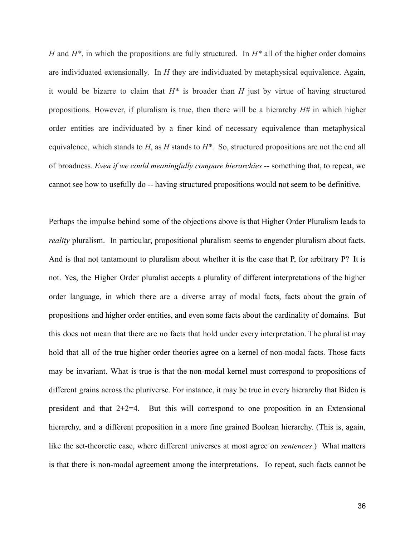*H* and *H\**, in which the propositions are fully structured. In *H\** all of the higher order domains are individuated extensionally. In *H* they are individuated by metaphysical equivalence. Again, it would be bizarre to claim that *H\** is broader than *H* just by virtue of having structured propositions. However, if pluralism is true, then there will be a hierarchy *H#* in which higher order entities are individuated by a finer kind of necessary equivalence than metaphysical equivalence, which stands to *H*, as *H* stands to *H\**. So, structured propositions are not the end all of broadness. *Even if we could meaningfully compare hierarchies* -- something that, to repeat, we cannot see how to usefully do -- having structured propositions would not seem to be definitive.

Perhaps the impulse behind some of the objections above is that Higher Order Pluralism leads to *reality* pluralism. In particular, propositional pluralism seems to engender pluralism about facts. And is that not tantamount to pluralism about whether it is the case that P, for arbitrary P? It is not. Yes, the Higher Order pluralist accepts a plurality of different interpretations of the higher order language, in which there are a diverse array of modal facts, facts about the grain of propositions and higher order entities, and even some facts about the cardinality of domains. But this does not mean that there are no facts that hold under every interpretation. The pluralist may hold that all of the true higher order theories agree on a kernel of non-modal facts. Those facts may be invariant. What is true is that the non-modal kernel must correspond to propositions of different grains across the pluriverse. For instance, it may be true in every hierarchy that Biden is president and that 2+2=4. But this will correspond to one proposition in an Extensional hierarchy, and a different proposition in a more fine grained Boolean hierarchy. (This is, again, like the set-theoretic case, where different universes at most agree on *sentences*.) What matters is that there is non-modal agreement among the interpretations. To repeat, such facts cannot be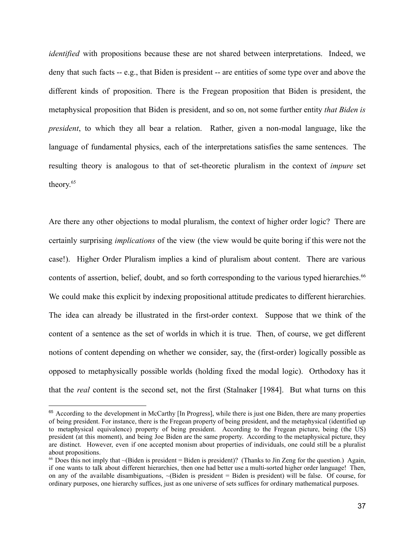*identified* with propositions because these are not shared between interpretations. Indeed, we deny that such facts -- e.g., that Biden is president -- are entities of some type over and above the different kinds of proposition. There is the Fregean proposition that Biden is president, the metaphysical proposition that Biden is president, and so on, not some further entity *that Biden is president*, to which they all bear a relation. Rather, given a non-modal language, like the language of fundamental physics, each of the interpretations satisfies the same sentences. The resulting theory is analogous to that of set-theoretic pluralism in the context of *impure* set theory. 65

Are there any other objections to modal pluralism, the context of higher order logic? There are certainly surprising *implications* of the view (the view would be quite boring if this were not the case!). Higher Order Pluralism implies a kind of pluralism about content. There are various contents of assertion, belief, doubt, and so forth corresponding to the various typed hierarchies.<sup>66</sup> We could make this explicit by indexing propositional attitude predicates to different hierarchies. The idea can already be illustrated in the first-order context. Suppose that we think of the content of a sentence as the set of worlds in which it is true. Then, of course, we get different notions of content depending on whether we consider, say, the (first-order) logically possible as opposed to metaphysically possible worlds (holding fixed the modal logic). Orthodoxy has it that the *real* content is the second set, not the first (Stalnaker [1984]. But what turns on this

<sup>&</sup>lt;sup>65</sup> According to the development in McCarthy [In Progress], while there is just one Biden, there are many properties of being president. For instance, there is the Fregean property of being president, and the metaphysical (identified up to metaphysical equivalence) property of being president. According to the Fregean picture, being (the US) president (at this moment), and being Joe Biden are the same property. According to the metaphysical picture, they are distinct. However, even if one accepted monism about properties of individuals, one could still be a pluralist about propositions.

<sup>&</sup>lt;sup>66</sup> Does this not imply that  $\sim$ (Biden is president = Biden is president)? (Thanks to Jin Zeng for the question.) Again, if one wants to talk about different hierarchies, then one had better use a multi-sorted higher order language! Then, on any of the available disambiguations,  $\sim$ (Biden is president = Biden is president) will be false. Of course, for ordinary purposes, one hierarchy suffices, just as one universe of sets suffices for ordinary mathematical purposes.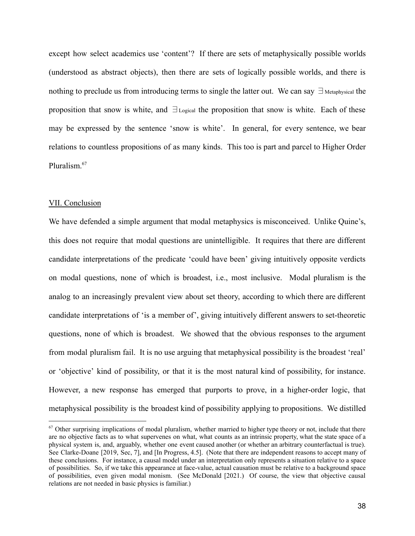except how select academics use 'content'? If there are sets of metaphysically possible worlds (understood as abstract objects), then there are sets of logically possible worlds, and there is nothing to preclude us from introducing terms to single the latter out. We can say  $\exists$  Metaphysical the proposition that snow is white, and ∃Logical the proposition that snow is white. Each of these may be expressed by the sentence 'snow is white'. In general, for every sentence, we bear relations to countless propositions of as many kinds. This too is part and parcel to Higher Order Pluralism.<sup>67</sup>

#### VII. Conclusion

We have defended a simple argument that modal metaphysics is misconceived. Unlike Quine's, this does not require that modal questions are unintelligible. It requires that there are different candidate interpretations of the predicate 'could have been' giving intuitively opposite verdicts on modal questions, none of which is broadest, i.e., most inclusive. Modal pluralism is the analog to an increasingly prevalent view about set theory, according to which there are different candidate interpretations of 'is a member of', giving intuitively different answers to set-theoretic questions, none of which is broadest. We showed that the obvious responses to the argument from modal pluralism fail. It is no use arguing that metaphysical possibility is the broadest 'real' or 'objective' kind of possibility, or that it is the most natural kind of possibility, for instance. However, a new response has emerged that purports to prove, in a higher-order logic, that metaphysical possibility is the broadest kind of possibility applying to propositions. We distilled

 $67$  Other surprising implications of modal pluralism, whether married to higher type theory or not, include that there are no objective facts as to what supervenes on what, what counts as an intrinsic property, what the state space of a physical system is, and, arguably, whether one event caused another (or whether an arbitrary counterfactual is true). See Clarke-Doane [2019, Sec, 7], and [In Progress, 4.5]. (Note that there are independent reasons to accept many of these conclusions. For instance, a causal model under an interpretation only represents a situation relative to a space of possibilities. So, if we take this appearance at face-value, actual causation must be relative to a background space of possibilities, even given modal monism. (See McDonald [2021.) Of course, the view that objective causal relations are not needed in basic physics is familiar.)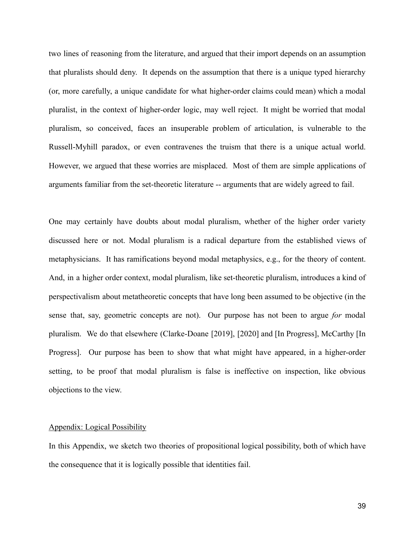two lines of reasoning from the literature, and argued that their import depends on an assumption that pluralists should deny. It depends on the assumption that there is a unique typed hierarchy (or, more carefully, a unique candidate for what higher-order claims could mean) which a modal pluralist, in the context of higher-order logic, may well reject. It might be worried that modal pluralism, so conceived, faces an insuperable problem of articulation, is vulnerable to the Russell-Myhill paradox, or even contravenes the truism that there is a unique actual world. However, we argued that these worries are misplaced. Most of them are simple applications of arguments familiar from the set-theoretic literature -- arguments that are widely agreed to fail.

One may certainly have doubts about modal pluralism, whether of the higher order variety discussed here or not. Modal pluralism is a radical departure from the established views of metaphysicians. It has ramifications beyond modal metaphysics, e.g., for the theory of content. And, in a higher order context, modal pluralism, like set-theoretic pluralism, introduces a kind of perspectivalism about metatheoretic concepts that have long been assumed to be objective (in the sense that, say, geometric concepts are not). Our purpose has not been to argue *for* modal pluralism. We do that elsewhere (Clarke-Doane [2019], [2020] and [In Progress], McCarthy [In Progress]. Our purpose has been to show that what might have appeared, in a higher-order setting, to be proof that modal pluralism is false is ineffective on inspection, like obvious objections to the view.

# Appendix: Logical Possibility

In this Appendix, we sketch two theories of propositional logical possibility, both of which have the consequence that it is logically possible that identities fail.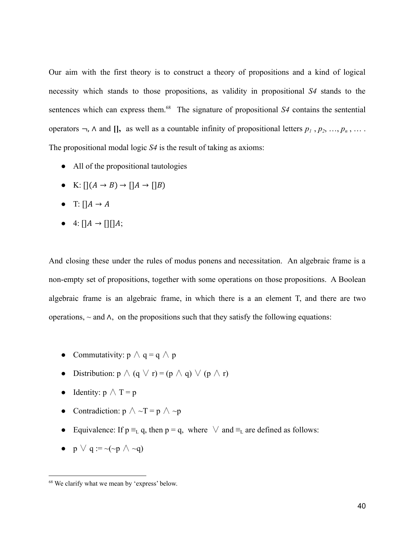Our aim with the first theory is to construct a theory of propositions and a kind of logical necessity which stands to those propositions, as validity in propositional *S4* stands to the sentences which can express them.<sup>68</sup> The signature of propositional *S4* contains the sentential operators  $\neg$ ,  $\wedge$  and  $[]$ , as well as a countable infinity of propositional letters  $p_1$ ,  $p_2$ , ...,  $p_n$ , .... The propositional modal logic *S4* is the result of taking as axioms:

- All of the propositional tautologies
- K:  $\bigcap (A \rightarrow B) \rightarrow \bigcap A \rightarrow \bigcap B)$
- T:  $\prod A \rightarrow A$
- $\bullet$  4:  $\prod A \rightarrow \prod \prod A;$

And closing these under the rules of modus ponens and necessitation. An algebraic frame is a non-empty set of propositions, together with some operations on those propositions. A Boolean algebraic frame is an algebraic frame, in which there is a an element T, and there are two operations, *~* and ∧, on the propositions such that they satisfy the following equations:

- Commutativity:  $p \wedge q = q \wedge p$
- **●** Distribution:  $p \wedge (q \vee r) = (p \wedge q) \vee (p \wedge r)$
- Identity:  $p \wedge T = p$
- Contradiction:  $p \land \neg T = p \land \neg p$
- Equivalence: If  $p \equiv_L q$ , then  $p = q$ , where  $\vee$  and  $\equiv_L$  are defined as follows:
- $p \lor q := \neg(\neg p \land \neg q)$

<sup>68</sup> We clarify what we mean by 'express' below.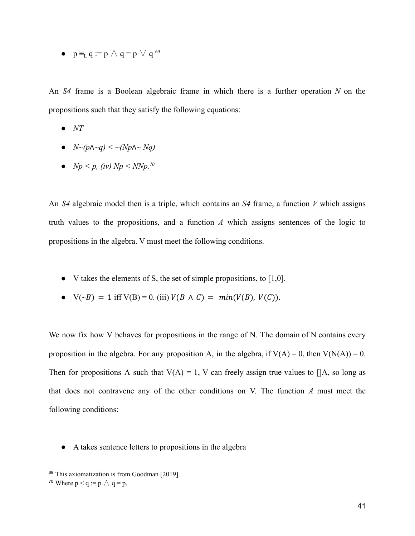•  $p \equiv_L q := p \land q = p \lor q^{69}$ 

An *S4* frame is a Boolean algebraic frame in which there is a further operation *N* on the propositions such that they satisfy the following equations:

- $\bullet$  *NT*
- *N~(p*∧*~q) < ~(Np*∧*~ Nq)*
- $Np \leq p$ , *(iv)*  $Np \leq N N p$ .<sup>70</sup>

An *S4* algebraic model then is a triple, which contains an *S4* frame, a function *V* which assigns truth values to the propositions, and a function *A* which assigns sentences of the logic to propositions in the algebra. V must meet the following conditions.

- $\bullet$  V takes the elements of S, the set of simple propositions, to [1,0].
- $V(\sim B) = 1$  iff  $V(B) = 0$ . (iii)  $V(B \land C) = min(V(B), V(C)).$

We now fix how V behaves for propositions in the range of N. The domain of N contains every proposition in the algebra. For any proposition A, in the algebra, if  $V(A) = 0$ , then  $V(N(A)) = 0$ . Then for propositions A such that  $V(A) = 1$ , V can freely assign true values to []A, so long as that does not contravene any of the other conditions on V. The function *A* must meet the following conditions:

● A takes sentence letters to propositions in the algebra

<sup>69</sup> This axiomatization is from Goodman [2019].

<sup>&</sup>lt;sup>70</sup> Where  $p < q := p \land q = p$ .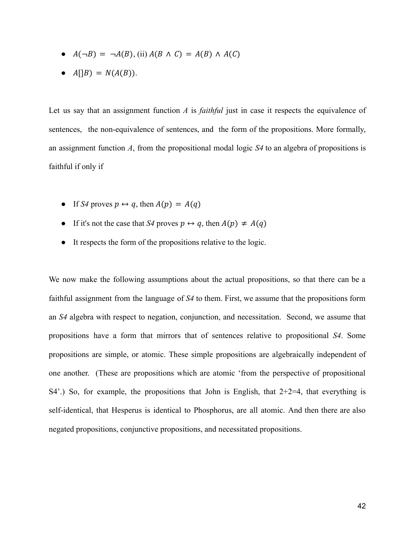- $\bullet$   $A(\neg B) = \neg A(B),$  (ii)  $A(B \land C) = A(B) \land A(C)$
- $A[|B] = N(A(B)).$

Let us say that an assignment function *A* is *faithful* just in case it respects the equivalence of sentences, the non-equivalence of sentences, and the form of the propositions. More formally, an assignment function *A*, from the propositional modal logic *S4* to an algebra of propositions is faithful if only if

- If *S4* proves  $p \leftrightarrow q$ , then  $A(p) = A(q)$
- If it's not the case that *S4* proves  $p \leftrightarrow q$ , then  $A(p) \neq A(q)$
- It respects the form of the propositions relative to the logic.

We now make the following assumptions about the actual propositions, so that there can be a faithful assignment from the language of *S4* to them. First, we assume that the propositions form an *S4* algebra with respect to negation, conjunction, and necessitation. Second, we assume that propositions have a form that mirrors that of sentences relative to propositional *S4*. Some propositions are simple, or atomic. These simple propositions are algebraically independent of one another. (These are propositions which are atomic 'from the perspective of propositional  $S4'$ .) So, for example, the propositions that John is English, that  $2+2=4$ , that everything is self-identical, that Hesperus is identical to Phosphorus, are all atomic. And then there are also negated propositions, conjunctive propositions, and necessitated propositions.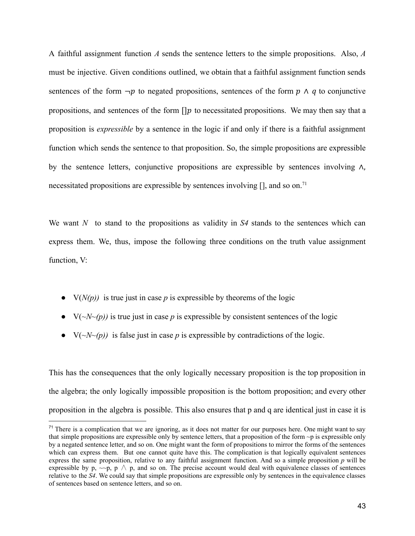A faithful assignment function *A* sends the sentence letters to the simple propositions. Also, *A* must be injective. Given conditions outlined, we obtain that a faithful assignment function sends sentences of the form  $\neg p$  to negated propositions, sentences of the form  $p \wedge q$  to conjunctive propositions, and sentences of the form  $\iint p$  to necessitated propositions. We may then say that a proposition is *expressible* by a sentence in the logic if and only if there is a faithful assignment function which sends the sentence to that proposition. So, the simple propositions are expressible by the sentence letters, conjunctive propositions are expressible by sentences involving ∧, necessitated propositions are expressible by sentences involving  $[]$ , and so on.<sup>71</sup>

We want *N* to stand to the propositions as validity in *S4* stands to the sentences which can express them. We, thus, impose the following three conditions on the truth value assignment function, V:

- $\bullet$   $V(N(p))$  is true just in case *p* is expressible by theorems of the logic
- $\bullet$   $V(\sim N(\sim p))$  is true just in case *p* is expressible by consistent sentences of the logic
- $\bullet$   $V(\sim N(\sim p))$  is false just in case *p* is expressible by contradictions of the logic.

This has the consequences that the only logically necessary proposition is the top proposition in the algebra; the only logically impossible proposition is the bottom proposition; and every other proposition in the algebra is possible. This also ensures that p and q are identical just in case it is

 $71$  There is a complication that we are ignoring, as it does not matter for our purposes here. One might want to say that simple propositions are expressible only by sentence letters, that a proposition of the form  $\neg p$  is expressible only by a negated sentence letter, and so on. One might want the form of propositions to mirror the forms of the sentences which can express them. But one cannot quite have this. The complication is that logically equivalent sentences express the same proposition, relative to any faithful assignment function. And so a simple proposition *p* will be expressible by p,  $\sim$ -p, p  $\wedge$  p, and so on. The precise account would deal with equivalence classes of sentences relative to the *S4*. We could say that simple propositions are expressible only by sentences in the equivalence classes of sentences based on sentence letters, and so on.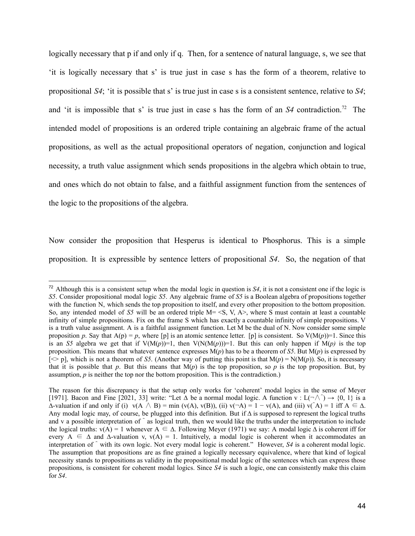logically necessary that p if and only if q. Then, for a sentence of natural language, s, we see that 'it is logically necessary that s' is true just in case s has the form of a theorem, relative to propositional *S4*; 'it is possible that s' is true just in case s is a consistent sentence, relative to *S4*; and 'it is impossible that s' is true just in case s has the form of an  $S4$  contradiction.<sup>72</sup> The intended model of propositions is an ordered triple containing an algebraic frame of the actual propositions, as well as the actual propositional operators of negation, conjunction and logical necessity, a truth value assignment which sends propositions in the algebra which obtain to true, and ones which do not obtain to false, and a faithful assignment function from the sentences of the logic to the propositions of the algebra.

Now consider the proposition that Hesperus is identical to Phosphorus. This is a simple proposition. It is expressible by sentence letters of propositional *S4*. So, the negation of that

<sup>72</sup> Although this is a consistent setup when the modal logic in question is *S4*, it is not a consistent one if the logic is *S5*. Consider propositional modal logic *S5*. Any algebraic frame of *S5* is a Boolean algebra of propositions together with the function N, which sends the top proposition to itself, and every other proposition to the bottom proposition. So, any intended model of *S5* will be an ordered triple M= <S, V, A>, where S must contain at least a countable infinity of simple propositions. Fix on the frame S which has exactly a countable infinity of simple propositions. V is a truth value assignment. A is a faithful assignment function. Let M be the dual of N. Now consider some simple proposition *p*. Say that  $A(p) = p$ , where [p] is an atomic sentence letter. [p] is consistent. So  $V(M(p))=1$ . Since this is an *S5* algebra we get that if  $V(M(p))=1$ , then  $V(N(M(p)))=1$ . But this can only happen if  $M(p)$  is the top proposition. This means that whatever sentence expresses M(*p*) has to be a theorem of *S5*. But M(*p*) is expressed by  $\ll$  pl, which is not a theorem of *S5*. (Another way of putting this point is that  $M(p) = N(M(p))$ . So, it is necessary that it is possible that *p*. But this means that  $M(p)$  is the top proposition, so *p* is the top proposition. But, by assumption, *p* is neither the top nor the bottom proposition. This is the contradiction.)

The reason for this discrepancy is that the setup only works for 'coherent' modal logics in the sense of Meyer [1971]. Bacon and Fine [2021, 33] write: "Let  $\Delta$  be a normal modal logic. A function v : L(¬ $\wedge$ )  $\rightarrow$  {0, 1} is a  $\Delta$ -valuation if and only if (i) v(A  $\land$  B) = min (v(A), v(B)), (ii) v( $\neg$ A) = 1 – v(A), and (iii) v( $\land$ A) = 1 iff A  $\in$   $\Delta$ . Any modal logic may, of course, be plugged into this definition. But if ∆ is supposed to represent the logical truths and v a possible interpretation of  $\hat{ }$  as logical truth, then we would like the truths under the interpretation to include the logical truths:  $v(A) = 1$  whenever  $A \subseteq \Delta$ . Following Meyer (1971) we say: A modal logic  $\Delta$  is coherent iff for every  $A \subseteq \Delta$  and  $\Delta$ -valuation v, v(A) = 1. Intuitively, a modal logic is coherent when it accommodates an interpretation of with its own logic. Not every modal logic is coherent." However, *S4* is a coherent modal logic. The assumption that propositions are as fine grained a logically necessary equivalence, where that kind of logical necessity stands to propositions as validity in the propositional modal logic of the sentences which can express those propositions, is consistent for coherent modal logics. Since *S4* is such a logic, one can consistently make this claim for *S4*.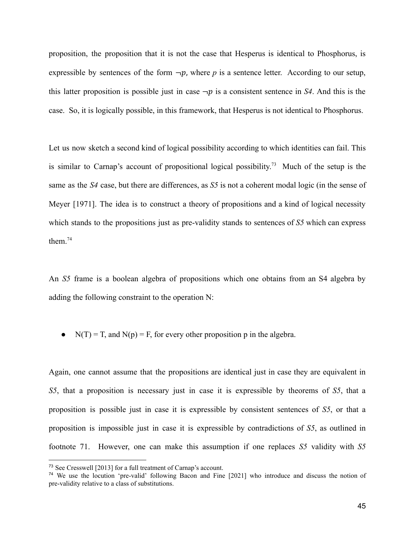proposition, the proposition that it is not the case that Hesperus is identical to Phosphorus, is expressible by sentences of the form  $\neg p$ , where p is a sentence letter. According to our setup, this latter proposition is possible just in case  $\neg p$  is a consistent sentence in *S4*. And this is the case. So, it is logically possible, in this framework, that Hesperus is not identical to Phosphorus.

Let us now sketch a second kind of logical possibility according to which identities can fail. This is similar to Carnap's account of propositional logical possibility.<sup>73</sup> Much of the setup is the same as the *S4* case, but there are differences, as *S5* is not a coherent modal logic (in the sense of Meyer [1971]. The idea is to construct a theory of propositions and a kind of logical necessity which stands to the propositions just as pre-validity stands to sentences of *S5* which can express them.<sup>74</sup>

An *S5* frame is a boolean algebra of propositions which one obtains from an S4 algebra by adding the following constraint to the operation N:

• N(T) = T, and N(p) = F, for every other proposition p in the algebra.

Again, one cannot assume that the propositions are identical just in case they are equivalent in *S5*, that a proposition is necessary just in case it is expressible by theorems of *S5*, that a proposition is possible just in case it is expressible by consistent sentences of *S5*, or that a proposition is impossible just in case it is expressible by contradictions of *S5*, as outlined in footnote 71. However, one can make this assumption if one replaces *S5* validity with *S5*

<sup>73</sup> See Cresswell [2013] for a full treatment of Carnap's account.

<sup>74</sup> We use the locution 'pre-valid' following Bacon and Fine [2021] who introduce and discuss the notion of pre-validity relative to a class of substitutions.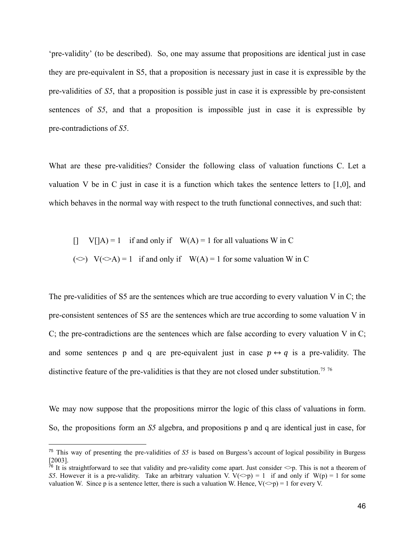'pre-validity' (to be described). So, one may assume that propositions are identical just in case they are pre-equivalent in S5, that a proposition is necessary just in case it is expressible by the pre-validities of *S5*, that a proposition is possible just in case it is expressible by pre-consistent sentences of *S5*, and that a proposition is impossible just in case it is expressible by pre-contradictions of *S5*.

What are these pre-validities? Consider the following class of valuation functions C. Let a valuation V be in C just in case it is a function which takes the sentence letters to  $[1,0]$ , and which behaves in the normal way with respect to the truth functional connectives, and such that:

[] V[[A] = 1 if and only if W(A) = 1 for all valuations W in C  
(
$$
\diamond
$$
) V( $\diamond$ A) = 1 if and only if W(A) = 1 for some valuation W in C

The pre-validities of S5 are the sentences which are true according to every valuation V in C; the pre-consistent sentences of S5 are the sentences which are true according to some valuation V in C; the pre-contradictions are the sentences which are false according to every valuation V in C; and some sentences p and q are pre-equivalent just in case  $p \leftrightarrow q$  is a pre-validity. The distinctive feature of the pre-validities is that they are not closed under substitution.<sup>75 76</sup>

We may now suppose that the propositions mirror the logic of this class of valuations in form. So, the propositions form an *S5* algebra, and propositions p and q are identical just in case, for

<sup>75</sup> This way of presenting the pre-validities of *S5* is based on Burgess's account of logical possibility in Burgess [2003].

<sup>&</sup>lt;sup>76</sup> It is straightforward to see that validity and pre-validity come apart. Just consider  $\leq p$ . This is not a theorem of *S5*. However it is a pre-validity. Take an arbitrary valuation V.  $V(\leq p) = 1$  if and only if  $W(p) = 1$  for some valuation W. Since p is a sentence letter, there is such a valuation W. Hence,  $V(\leq p) = 1$  for every V.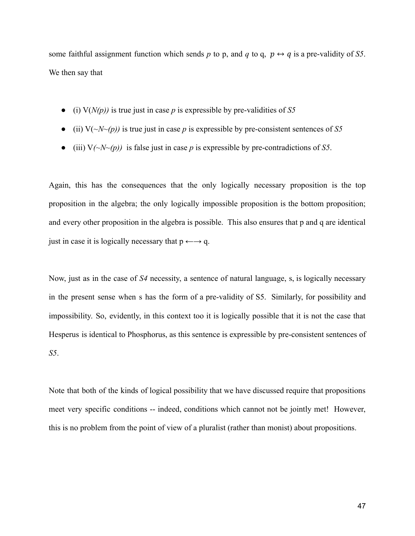some faithful assignment function which sends *p* to p, and *q* to q,  $p \leftrightarrow q$  is a pre-validity of *S5*. We then say that

- $\bullet$  (i)  $V(N(p))$  is true just in case *p* is expressible by pre-validities of *S5*
- $\bullet$  (ii)  $V(\sim N(\sim p))$  is true just in case *p* is expressible by pre-consistent sentences of *S5*
- $\bullet$  (iii)  $V(\sim N(\sim p))$  is false just in case *p* is expressible by pre-contradictions of *S5*.

Again, this has the consequences that the only logically necessary proposition is the top proposition in the algebra; the only logically impossible proposition is the bottom proposition; and every other proposition in the algebra is possible. This also ensures that p and q are identical just in case it is logically necessary that  $p \leftarrow \rightarrow q$ .

Now, just as in the case of *S4* necessity, a sentence of natural language, s, is logically necessary in the present sense when s has the form of a pre-validity of S5. Similarly, for possibility and impossibility. So, evidently, in this context too it is logically possible that it is not the case that Hesperus is identical to Phosphorus, as this sentence is expressible by pre-consistent sentences of *S5*.

Note that both of the kinds of logical possibility that we have discussed require that propositions meet very specific conditions -- indeed, conditions which cannot not be jointly met! However, this is no problem from the point of view of a pluralist (rather than monist) about propositions.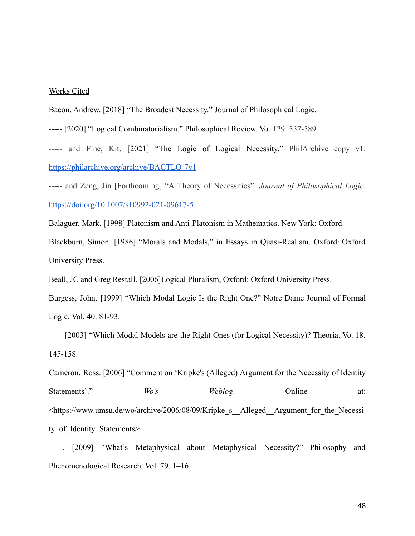## Works Cited

Bacon, Andrew. [2018] "The Broadest Necessity." Journal of Philosophical Logic.

----- [2020] "Logical Combinatorialism." Philosophical Review. Vo. 129. 537-589

----- and Fine, Kit. [2021] "The Logic of Logical Necessity." PhilArchive copy v1: <https://philarchive.org/archive/BACTLO-7v1>

----- and Zeng, Jin [Forthcoming] "A Theory of Necessities". *Journal of Philosophical Logic*. <https://doi.org/10.1007/s10992-021-09617-5>

Balaguer, Mark. [1998] Platonism and Anti-Platonism in Mathematics. New York: Oxford.

Blackburn, Simon. [1986] "Morals and Modals," in Essays in Quasi-Realism. Oxford: Oxford University Press.

Beall, JC and Greg Restall. [2006]Logical Pluralism, Oxford: Oxford University Press.

Burgess, John. [1999] "Which Modal Logic Is the Right One?" Notre Dame Journal of Formal Logic. Vol. 40. 81-93.

----- [2003] "Which Modal Models are the Right Ones (for Logical Necessity)? Theoria. Vo. 18. 145-158.

Cameron, Ross. [2006] "Comment on 'Kripke's (Alleged) Argument for the Necessity of Identity Statements'." *Wo's Weblog.* Online at: <https://www.umsu.de/wo/archive/2006/08/09/Kripke\_s\_\_Alleged\_\_Argument\_for\_the\_Necessi ty of Identity Statements>

-----. [2009] "What's Metaphysical about Metaphysical Necessity?" Philosophy and Phenomenological Research. Vol. 79. 1–16.

48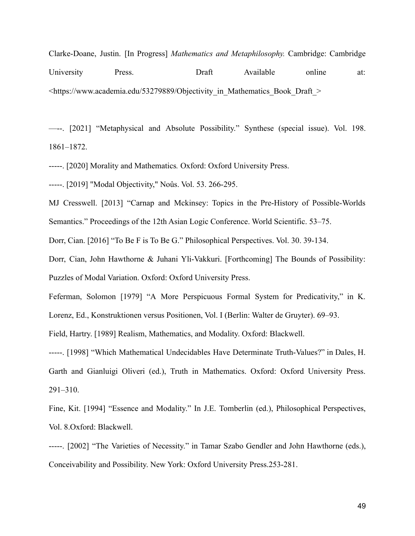Clarke-Doane, Justin. [In Progress] *Mathematics and Metaphilosophy.* Cambridge: Cambridge University Press. Draft Available online at:  $\le$ https://www.academia.edu/53279889/Objectivity in Mathematics Book Draft  $\ge$ 

—--. [2021] "Metaphysical and Absolute Possibility." Synthese (special issue). Vol. 198. 1861–1872.

-----. [2020] Morality and Mathematics*.* Oxford: Oxford University Press.

-----. [2019] "Modal Objectivity," Noûs. Vol. 53. 266-295.

MJ Cresswell. [2013] "Carnap and Mckinsey: Topics in the Pre-History of Possible-Worlds Semantics." Proceedings of the 12th Asian Logic Conference. World Scientific. 53–75.

Dorr, Cian. [2016] "To Be F is To Be G." Philosophical Perspectives. Vol. 30. 39-134.

Dorr, Cian, John Hawthorne & Juhani Yli-Vakkuri. [Forthcoming] The Bounds of Possibility: Puzzles of Modal Variation. Oxford: Oxford University Press.

Feferman, Solomon [1979] "A More Perspicuous Formal System for Predicativity," in K. Lorenz, Ed., Konstruktionen versus Positionen, Vol. I (Berlin: Walter de Gruyter). 69–93.

Field, Hartry. [1989] Realism, Mathematics, and Modality. Oxford: Blackwell.

-----. [1998] "Which Mathematical Undecidables Have Determinate Truth-Values?" in Dales, H. Garth and Gianluigi Oliveri (ed.), Truth in Mathematics. Oxford: Oxford University Press. 291–310.

Fine, Kit. [1994] "Essence and Modality." In J.E. Tomberlin (ed.), Philosophical Perspectives, Vol. 8.Oxford: Blackwell.

-----. [2002] "The Varieties of Necessity." in Tamar Szabo Gendler and John Hawthorne (eds.), Conceivability and Possibility. New York: Oxford University Press.253-281.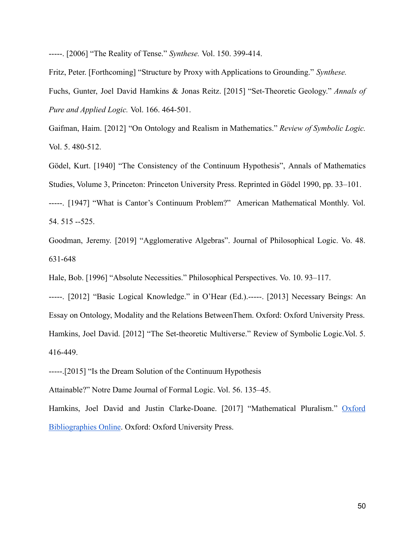-----. [2006] "The Reality of Tense." *Synthese.* Vol. 150. 399-414.

Fritz, Peter. [Forthcoming] "Structure by Proxy with Applications to Grounding." *Synthese.* Fuchs, Gunter, Joel David Hamkins & Jonas Reitz. [2015] "Set-Theoretic Geology." *Annals of Pure and Applied Logic.* Vol. 166. 464-501.

Gaifman, Haim. [2012] "On Ontology and Realism in Mathematics." *Review of Symbolic Logic.* Vol. 5. 480-512.

Gödel, Kurt. [1940] "The Consistency of the Continuum Hypothesis", Annals of Mathematics Studies, Volume 3, Princeton: Princeton University Press. Reprinted in Gödel 1990, pp. 33–101. -----. [1947] "What is Cantor's Continuum Problem?" American Mathematical Monthly. Vol.

54. 515 --525.

Goodman, Jeremy. [2019] "Agglomerative Algebras". Journal of Philosophical Logic. Vo. 48. 631-648

Hale, Bob. [1996] "Absolute Necessities." Philosophical Perspectives. Vo. 10. 93–117.

-----. [2012] "Basic Logical Knowledge." in O'Hear (Ed.).-----. [2013] Necessary Beings: An Essay on Ontology, Modality and the Relations BetweenThem. Oxford: Oxford University Press. Hamkins, Joel David. [2012] "The Set-theoretic Multiverse." Review of Symbolic Logic.Vol. 5. 416-449.

-----.[2015] "Is the Dream Solution of the Continuum Hypothesis

Attainable?" Notre Dame Journal of Formal Logic. Vol. 56. 135–45.

Hamkins, Joel David and Justin Clarke-Doane. [2017] "Mathematical Pluralism." [Oxford](https://www.oxfordbibliographies.com/view/document/obo-9780195396577/obo-9780195396577-0337.xml) [Bibliographies Online](https://www.oxfordbibliographies.com/view/document/obo-9780195396577/obo-9780195396577-0337.xml). Oxford: Oxford University Press.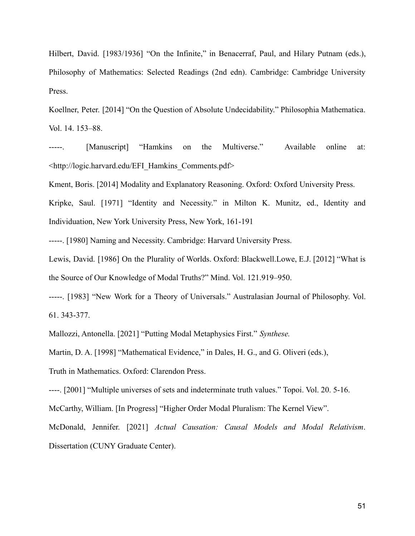Hilbert, David. [1983/1936] "On the Infinite," in Benacerraf, Paul, and Hilary Putnam (eds.), Philosophy of Mathematics: Selected Readings (2nd edn). Cambridge: Cambridge University Press.

Koellner, Peter. [2014] "On the Question of Absolute Undecidability." Philosophia Mathematica. Vol. 14. 153–88.

-----. [Manuscript] "Hamkins on the Multiverse." Available online at: <http://logic.harvard.edu/EFI\_Hamkins\_Comments.pdf>

Kment, Boris. [2014] Modality and Explanatory Reasoning. Oxford: Oxford University Press.

Kripke, Saul. [1971] "Identity and Necessity." in Milton K. Munitz, ed., Identity and Individuation, New York University Press, New York, 161-191

-----. [1980] Naming and Necessity. Cambridge: Harvard University Press.

Lewis, David. [1986] On the Plurality of Worlds. Oxford: Blackwell.Lowe, E.J. [2012] "What is the Source of Our Knowledge of Modal Truths?" Mind. Vol. 121.919–950.

-----. [1983] "New Work for a Theory of Universals." Australasian Journal of Philosophy. Vol. 61. 343-377.

Mallozzi, Antonella. [2021] "Putting Modal Metaphysics First." *Synthese.*

Martin, D. A. [1998] "Mathematical Evidence," in Dales, H. G., and G. Oliveri (eds.),

Truth in Mathematics. Oxford: Clarendon Press.

----. [2001] "Multiple universes of sets and indeterminate truth values." Topoi. Vol. 20. 5-16.

McCarthy, William. [In Progress] "Higher Order Modal Pluralism: The Kernel View".

McDonald, Jennifer. [2021] *Actual Causation: Causal Models and Modal Relativism*. Dissertation (CUNY Graduate Center).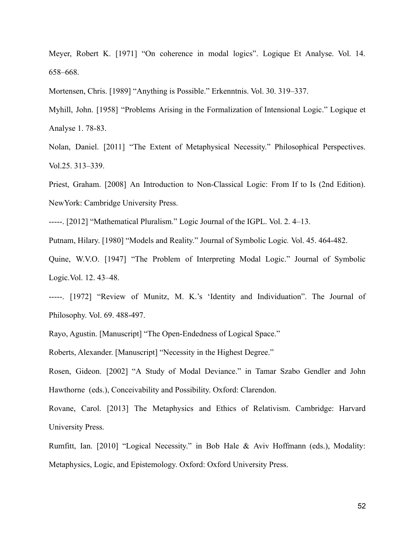Meyer, Robert K. [1971] "On coherence in modal logics". Logique Et Analyse. Vol. 14. 658–668.

Mortensen, Chris. [1989] "Anything is Possible." Erkenntnis. Vol. 30. 319–337.

Myhill, John. [1958] "Problems Arising in the Formalization of Intensional Logic." Logique et Analyse 1. 78-83.

Nolan, Daniel. [2011] "The Extent of Metaphysical Necessity." Philosophical Perspectives. Vol.25. 313–339.

Priest, Graham. [2008] An Introduction to Non-Classical Logic: From If to Is (2nd Edition). NewYork: Cambridge University Press.

-----. [2012] "Mathematical Pluralism." Logic Journal of the IGPL. Vol. 2. 4–13.

Putnam, Hilary. [1980] "Models and Reality." Journal of Symbolic Logic*.* Vol. 45. 464-482.

Quine, W.V.O. [1947] "The Problem of Interpreting Modal Logic." Journal of Symbolic Logic.Vol. 12. 43–48.

-----. [1972] "Review of Munitz, M. K.'s 'Identity and Individuation". The Journal of Philosophy. Vol. 69. 488-497.

Rayo, Agustin. [Manuscript] "The Open-Endedness of Logical Space."

Roberts, Alexander. [Manuscript] "Necessity in the Highest Degree."

Rosen, Gideon. [2002] "A Study of Modal Deviance." in Tamar Szabo Gendler and John Hawthorne (eds.), Conceivability and Possibility. Oxford: Clarendon.

Rovane, Carol. [2013] The Metaphysics and Ethics of Relativism. Cambridge: Harvard University Press.

Rumfitt, Ian. [2010] "Logical Necessity." in Bob Hale & Aviv Hoffmann (eds.), Modality: Metaphysics, Logic, and Epistemology. Oxford: Oxford University Press.

52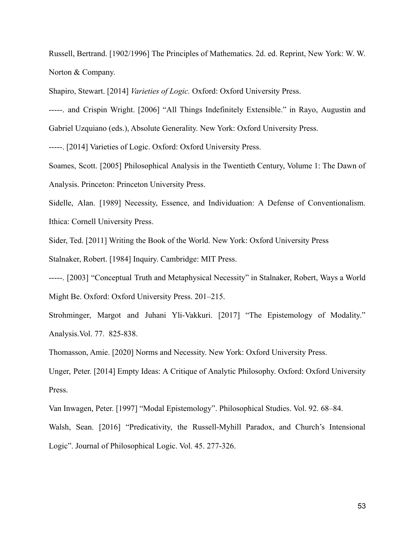Russell, Bertrand. [1902/1996] The Principles of Mathematics. 2d. ed. Reprint, New York: W. W. Norton & Company.

Shapiro, Stewart. [2014] *Varieties of Logic.* Oxford: Oxford University Press.

-----. and Crispin Wright. [2006] "All Things Indefinitely Extensible." in Rayo, Augustin and Gabriel Uzquiano (eds.), Absolute Generality. New York: Oxford University Press.

-----. [2014] Varieties of Logic. Oxford: Oxford University Press.

Soames, Scott. [2005] Philosophical Analysis in the Twentieth Century, Volume 1: The Dawn of Analysis. Princeton: Princeton University Press.

Sidelle, Alan. [1989] Necessity, Essence, and Individuation: A Defense of Conventionalism. Ithica: Cornell University Press.

Sider, Ted. [2011] Writing the Book of the World. New York: Oxford University Press

Stalnaker, Robert. [1984] Inquiry. Cambridge: MIT Press.

-----. [2003] "Conceptual Truth and Metaphysical Necessity" in Stalnaker, Robert, Ways a World Might Be. Oxford: Oxford University Press. 201–215.

Strohminger, Margot and Juhani Yli-Vakkuri. [2017] "The Epistemology of Modality." Analysis.Vol. 77. 825-838.

Thomasson, Amie. [2020] Norms and Necessity. New York: Oxford University Press.

Unger, Peter. [2014] Empty Ideas: A Critique of Analytic Philosophy. Oxford: Oxford University Press.

Van Inwagen, Peter. [1997] "Modal Epistemology". Philosophical Studies. Vol. 92. 68–84. Walsh, Sean. [2016] "Predicativity, the Russell-Myhill Paradox, and Church's Intensional Logic". Journal of Philosophical Logic. Vol. 45. 277-326.

53